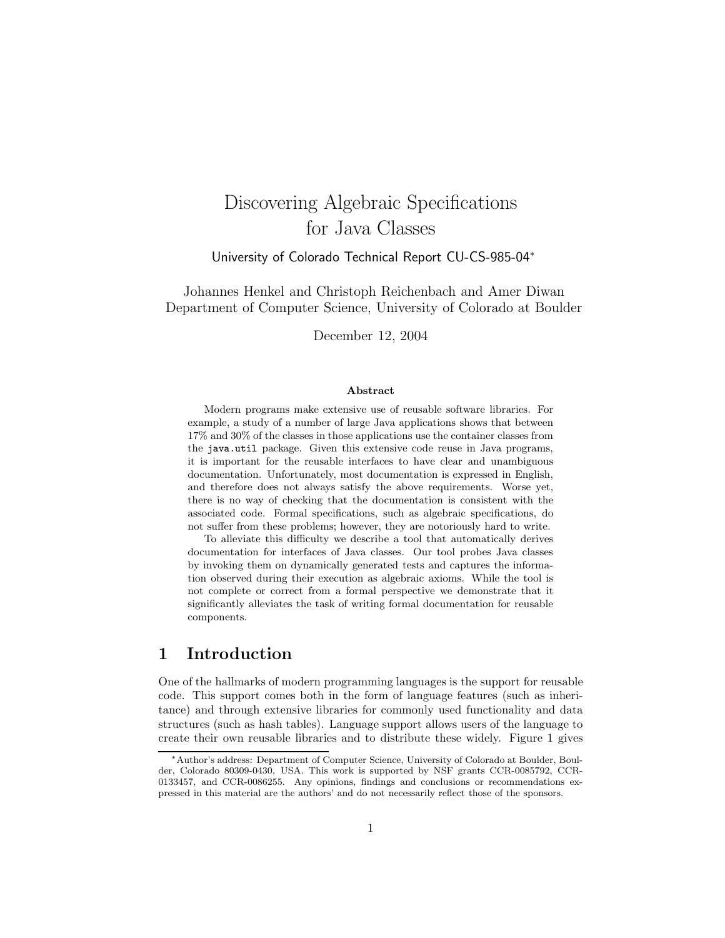# Discovering Algebraic Specifications for Java Classes

University of Colorado Technical Report CU-CS-985-04<sup>∗</sup>

Johannes Henkel and Christoph Reichenbach and Amer Diwan Department of Computer Science, University of Colorado at Boulder

December 12, 2004

#### Abstract

Modern programs make extensive use of reusable software libraries. For example, a study of a number of large Java applications shows that between 17% and 30% of the classes in those applications use the container classes from the java.util package. Given this extensive code reuse in Java programs, it is important for the reusable interfaces to have clear and unambiguous documentation. Unfortunately, most documentation is expressed in English, and therefore does not always satisfy the above requirements. Worse yet, there is no way of checking that the documentation is consistent with the associated code. Formal specifications, such as algebraic specifications, do not suffer from these problems; however, they are notoriously hard to write.

To alleviate this difficulty we describe a tool that automatically derives documentation for interfaces of Java classes. Our tool probes Java classes by invoking them on dynamically generated tests and captures the information observed during their execution as algebraic axioms. While the tool is not complete or correct from a formal perspective we demonstrate that it significantly alleviates the task of writing formal documentation for reusable components.

# 1 Introduction

One of the hallmarks of modern programming languages is the support for reusable code. This support comes both in the form of language features (such as inheritance) and through extensive libraries for commonly used functionality and data structures (such as hash tables). Language support allows users of the language to create their own reusable libraries and to distribute these widely. Figure 1 gives

<sup>∗</sup>Author's address: Department of Computer Science, University of Colorado at Boulder, Boulder, Colorado 80309-0430, USA. This work is supported by NSF grants CCR-0085792, CCR-0133457, and CCR-0086255. Any opinions, findings and conclusions or recommendations expressed in this material are the authors' and do not necessarily reflect those of the sponsors.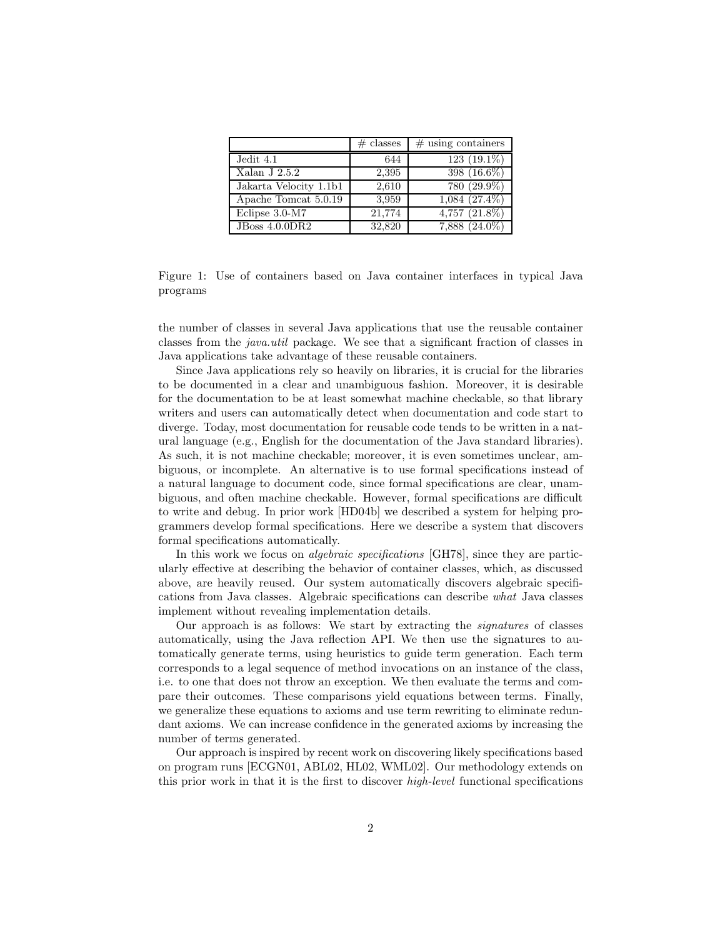|                        | $\#$ classes | $#$ using containers |
|------------------------|--------------|----------------------|
| Jedit 4.1              | 644          | $123(19.1\%)$        |
| Xalan J $2.5.2$        | 2,395        | 398 (16.6%)          |
| Jakarta Velocity 1.1b1 | 2,610        | 780 (29.9%)          |
| Apache Tomcat 5.0.19   | 3.959        | $1,084$ $(27.4\%)$   |
| Eclipse 3.0-M7         | 21,774       | $4,757$ $(21.8\%)$   |
| <b>JBoss 4.0.0DR2</b>  | 32,820       | $7,888$ $(24.0\%)$   |

Figure 1: Use of containers based on Java container interfaces in typical Java programs

the number of classes in several Java applications that use the reusable container classes from the java.util package. We see that a significant fraction of classes in Java applications take advantage of these reusable containers.

Since Java applications rely so heavily on libraries, it is crucial for the libraries to be documented in a clear and unambiguous fashion. Moreover, it is desirable for the documentation to be at least somewhat machine checkable, so that library writers and users can automatically detect when documentation and code start to diverge. Today, most documentation for reusable code tends to be written in a natural language (e.g., English for the documentation of the Java standard libraries). As such, it is not machine checkable; moreover, it is even sometimes unclear, ambiguous, or incomplete. An alternative is to use formal specifications instead of a natural language to document code, since formal specifications are clear, unambiguous, and often machine checkable. However, formal specifications are difficult to write and debug. In prior work [HD04b] we described a system for helping programmers develop formal specifications. Here we describe a system that discovers formal specifications automatically.

In this work we focus on *algebraic specifications* [GH78], since they are particularly effective at describing the behavior of container classes, which, as discussed above, are heavily reused. Our system automatically discovers algebraic specifications from Java classes. Algebraic specifications can describe what Java classes implement without revealing implementation details.

Our approach is as follows: We start by extracting the signatures of classes automatically, using the Java reflection API. We then use the signatures to automatically generate terms, using heuristics to guide term generation. Each term corresponds to a legal sequence of method invocations on an instance of the class, i.e. to one that does not throw an exception. We then evaluate the terms and compare their outcomes. These comparisons yield equations between terms. Finally, we generalize these equations to axioms and use term rewriting to eliminate redundant axioms. We can increase confidence in the generated axioms by increasing the number of terms generated.

Our approach is inspired by recent work on discovering likely specifications based on program runs [ECGN01, ABL02, HL02, WML02]. Our methodology extends on this prior work in that it is the first to discover high-level functional specifications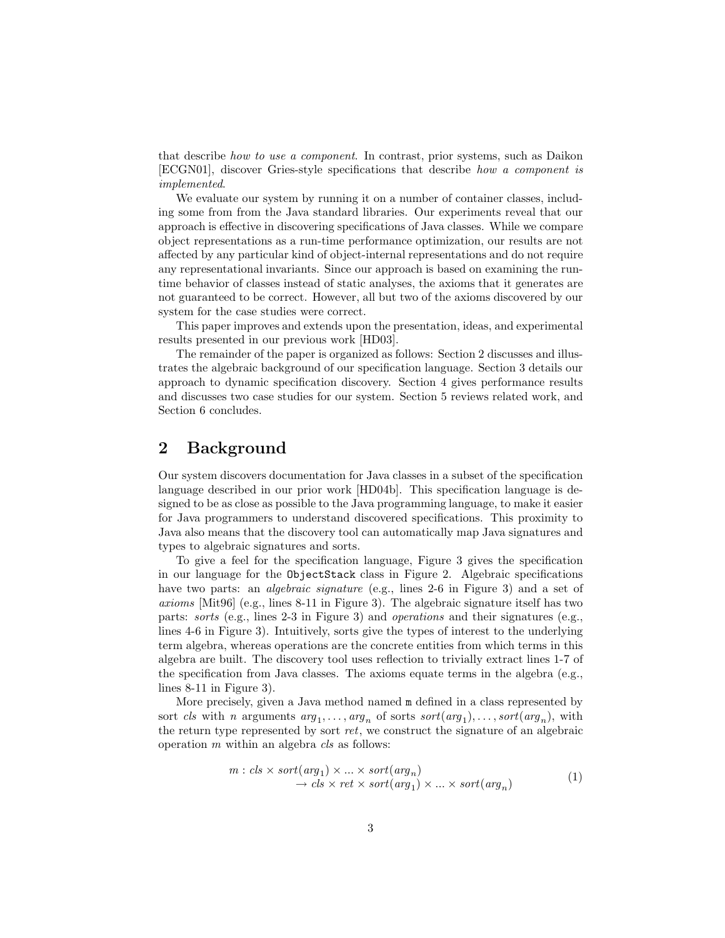that describe how to use a component. In contrast, prior systems, such as Daikon [ECGN01], discover Gries-style specifications that describe how a component is implemented.

We evaluate our system by running it on a number of container classes, including some from from the Java standard libraries. Our experiments reveal that our approach is effective in discovering specifications of Java classes. While we compare object representations as a run-time performance optimization, our results are not affected by any particular kind of object-internal representations and do not require any representational invariants. Since our approach is based on examining the runtime behavior of classes instead of static analyses, the axioms that it generates are not guaranteed to be correct. However, all but two of the axioms discovered by our system for the case studies were correct.

This paper improves and extends upon the presentation, ideas, and experimental results presented in our previous work [HD03].

The remainder of the paper is organized as follows: Section 2 discusses and illustrates the algebraic background of our specification language. Section 3 details our approach to dynamic specification discovery. Section 4 gives performance results and discusses two case studies for our system. Section 5 reviews related work, and Section 6 concludes.

# 2 Background

Our system discovers documentation for Java classes in a subset of the specification language described in our prior work [HD04b]. This specification language is designed to be as close as possible to the Java programming language, to make it easier for Java programmers to understand discovered specifications. This proximity to Java also means that the discovery tool can automatically map Java signatures and types to algebraic signatures and sorts.

To give a feel for the specification language, Figure 3 gives the specification in our language for the ObjectStack class in Figure 2. Algebraic specifications have two parts: an *algebraic signature* (e.g., lines 2-6 in Figure 3) and a set of axioms [Mit96] (e.g., lines 8-11 in Figure 3). The algebraic signature itself has two parts: sorts (e.g., lines 2-3 in Figure 3) and operations and their signatures (e.g., lines 4-6 in Figure 3). Intuitively, sorts give the types of interest to the underlying term algebra, whereas operations are the concrete entities from which terms in this algebra are built. The discovery tool uses reflection to trivially extract lines 1-7 of the specification from Java classes. The axioms equate terms in the algebra (e.g., lines 8-11 in Figure 3).

More precisely, given a Java method named m defined in a class represented by sort *cls* with *n* arguments  $arg_1, \ldots, arg_n$  of sorts  $sort(arg_1), \ldots, sort(arg_n)$ , with the return type represented by sort ret, we construct the signature of an algebraic operation  $m$  within an algebra  $cls$  as follows:

$$
m: \text{cls} \times \text{sort}(\text{arg}_1) \times \ldots \times \text{sort}(\text{arg}_n) \n\rightarrow \text{cls} \times \text{ret} \times \text{sort}(\text{arg}_1) \times \ldots \times \text{sort}(\text{arg}_n)
$$
\n(1)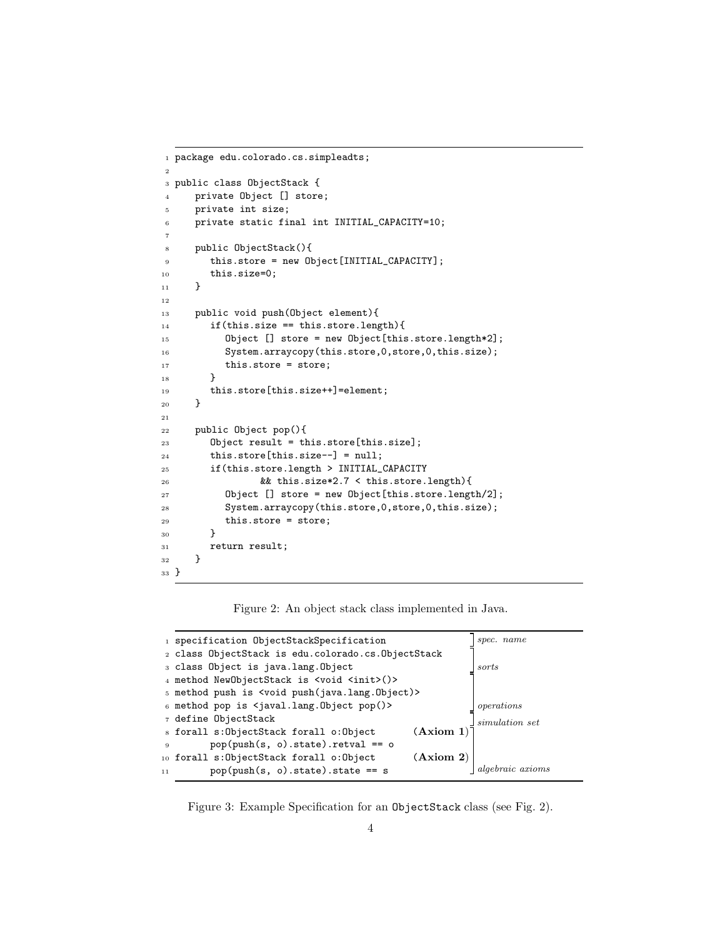```
1 package edu.colorado.cs.simpleadts;
2
3 public class ObjectStack {
4 private Object [] store;
5 private int size;
6 private static final int INITIAL_CAPACITY=10;
7
8 public ObjectStack(){
9 this.store = new Object[INITIAL_CAPACITY];
10 this.size=0;
11 }
12
13 public void push(Object element){
14 if(this.size == this.store.length){
15 Object [] store = new Object[this.store.length*2];
16 System.arraycopy(this.store,0,store,0,this.size);
17 this.store = store;
18 }
19 this.store[this.size++]=element;
20 }
21
22 public Object pop(){
23 Object result = this.store[this.size];
24 this.store[this.size--] = null;
25 if(this.store.length > INITIAL_CAPACITY
26 && this.size*2.7 < this.store.length){
27 Object [] store = new Object[this.store.length/2];
28 System.arraycopy(this.store,0,store,0,this.size);
29 this.store = store;
30 }
31 return result;
32 }
33 }
```
Figure 2: An object stack class implemented in Java.

|              | 1 specification ObjectStackSpecification                 | spec. name     |
|--------------|----------------------------------------------------------|----------------|
|              | 2 class ObjectStack is edu.colorado.cs.ObjectStack       |                |
|              | 3 class Object is java.lang.Object                       | sorts          |
|              | 4 method NewObjectStack is <void <init="">()&gt;</void>  |                |
|              | 5 method push is <void push(java.lang.object)=""></void> |                |
|              | 6 method pop is $\langle$ javal.lang.Object pop $()$     | operations     |
|              | 7 define ObjectStack                                     | simulation set |
|              | (Axiom 1)<br>s forall s:ObjectStack forall o:Object      |                |
| $\mathbf{Q}$ | $pop(push(s, o).state).reval == o$                       |                |
|              | (Axiom 2)<br>10 forall s: ObjectStack forall o: Object   |                |
| 11           | $pop(push(s, o).state).state == s$                       | raic axioms    |
|              |                                                          |                |

Figure 3: Example Specification for an ObjectStack class (see Fig. 2).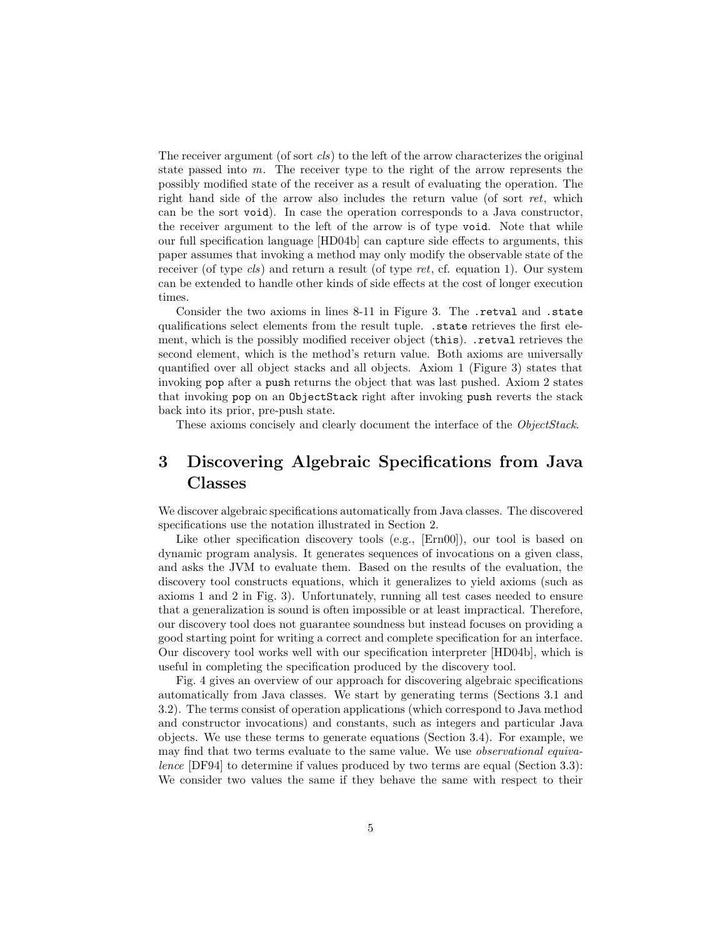The receiver argument (of sort  $cls$ ) to the left of the arrow characterizes the original state passed into m. The receiver type to the right of the arrow represents the possibly modified state of the receiver as a result of evaluating the operation. The right hand side of the arrow also includes the return value (of sort ret, which can be the sort void). In case the operation corresponds to a Java constructor, the receiver argument to the left of the arrow is of type void. Note that while our full specification language [HD04b] can capture side effects to arguments, this paper assumes that invoking a method may only modify the observable state of the receiver (of type cls) and return a result (of type ret, cf. equation 1). Our system can be extended to handle other kinds of side effects at the cost of longer execution times.

Consider the two axioms in lines 8-11 in Figure 3. The .retval and .state qualifications select elements from the result tuple. .state retrieves the first element, which is the possibly modified receiver object (this). .retval retrieves the second element, which is the method's return value. Both axioms are universally quantified over all object stacks and all objects. Axiom 1 (Figure 3) states that invoking pop after a push returns the object that was last pushed. Axiom 2 states that invoking pop on an ObjectStack right after invoking push reverts the stack back into its prior, pre-push state.

These axioms concisely and clearly document the interface of the *ObjectStack*.

# 3 Discovering Algebraic Specifications from Java Classes

We discover algebraic specifications automatically from Java classes. The discovered specifications use the notation illustrated in Section 2.

Like other specification discovery tools (e.g., [Ern00]), our tool is based on dynamic program analysis. It generates sequences of invocations on a given class, and asks the JVM to evaluate them. Based on the results of the evaluation, the discovery tool constructs equations, which it generalizes to yield axioms (such as axioms 1 and 2 in Fig. 3). Unfortunately, running all test cases needed to ensure that a generalization is sound is often impossible or at least impractical. Therefore, our discovery tool does not guarantee soundness but instead focuses on providing a good starting point for writing a correct and complete specification for an interface. Our discovery tool works well with our specification interpreter [HD04b], which is useful in completing the specification produced by the discovery tool.

Fig. 4 gives an overview of our approach for discovering algebraic specifications automatically from Java classes. We start by generating terms (Sections 3.1 and 3.2). The terms consist of operation applications (which correspond to Java method and constructor invocations) and constants, such as integers and particular Java objects. We use these terms to generate equations (Section 3.4). For example, we may find that two terms evaluate to the same value. We use observational equivalence [DF94] to determine if values produced by two terms are equal (Section 3.3): We consider two values the same if they behave the same with respect to their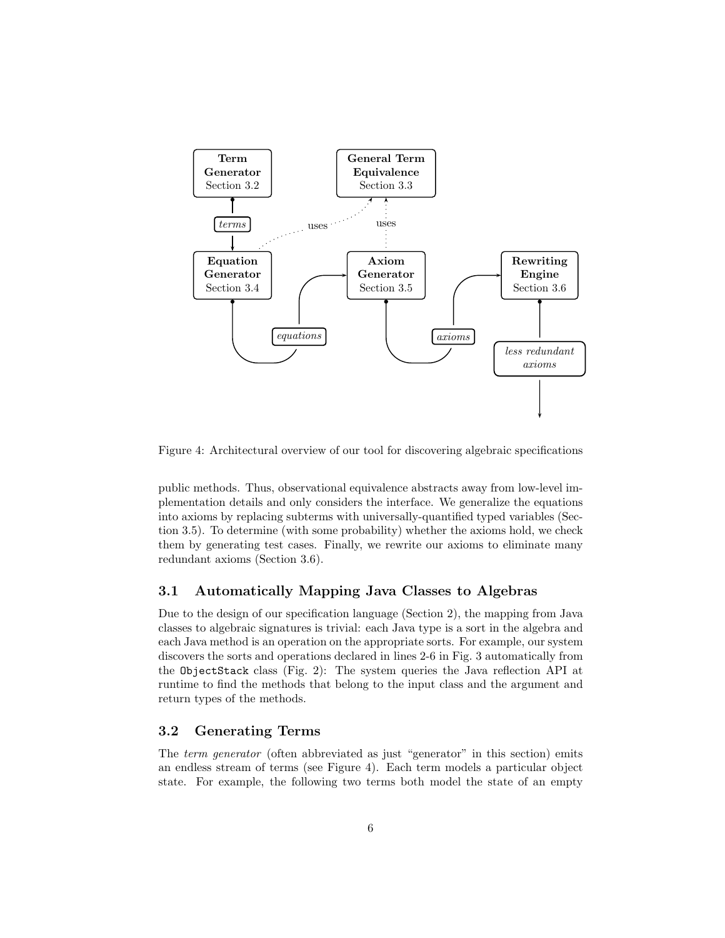

Figure 4: Architectural overview of our tool for discovering algebraic specifications

public methods. Thus, observational equivalence abstracts away from low-level implementation details and only considers the interface. We generalize the equations into axioms by replacing subterms with universally-quantified typed variables (Section 3.5). To determine (with some probability) whether the axioms hold, we check them by generating test cases. Finally, we rewrite our axioms to eliminate many redundant axioms (Section 3.6).

# 3.1 Automatically Mapping Java Classes to Algebras

Due to the design of our specification language (Section 2), the mapping from Java classes to algebraic signatures is trivial: each Java type is a sort in the algebra and each Java method is an operation on the appropriate sorts. For example, our system discovers the sorts and operations declared in lines 2-6 in Fig. 3 automatically from the ObjectStack class (Fig. 2): The system queries the Java reflection API at runtime to find the methods that belong to the input class and the argument and return types of the methods.

### 3.2 Generating Terms

The term generator (often abbreviated as just "generator" in this section) emits an endless stream of terms (see Figure 4). Each term models a particular object state. For example, the following two terms both model the state of an empty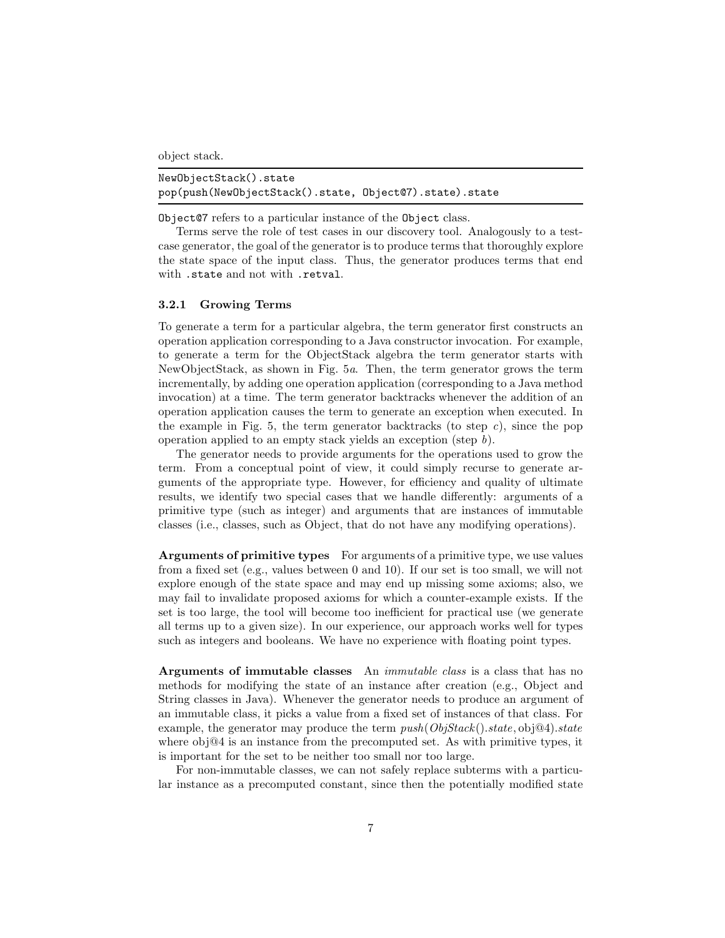object stack.

| NewObjectStack().state                                  |  |
|---------------------------------------------------------|--|
| pop(push(NewObjectStack().state, Object@7).state).state |  |

Object@7 refers to a particular instance of the Object class.

Terms serve the role of test cases in our discovery tool. Analogously to a testcase generator, the goal of the generator is to produce terms that thoroughly explore the state space of the input class. Thus, the generator produces terms that end with .state and not with .retval.

### 3.2.1 Growing Terms

To generate a term for a particular algebra, the term generator first constructs an operation application corresponding to a Java constructor invocation. For example, to generate a term for the ObjectStack algebra the term generator starts with NewObjectStack, as shown in Fig. 5a. Then, the term generator grows the term incrementally, by adding one operation application (corresponding to a Java method invocation) at a time. The term generator backtracks whenever the addition of an operation application causes the term to generate an exception when executed. In the example in Fig. 5, the term generator backtracks (to step  $c$ ), since the pop operation applied to an empty stack yields an exception (step b).

The generator needs to provide arguments for the operations used to grow the term. From a conceptual point of view, it could simply recurse to generate arguments of the appropriate type. However, for efficiency and quality of ultimate results, we identify two special cases that we handle differently: arguments of a primitive type (such as integer) and arguments that are instances of immutable classes (i.e., classes, such as Object, that do not have any modifying operations).

Arguments of primitive types For arguments of a primitive type, we use values from a fixed set (e.g., values between 0 and 10). If our set is too small, we will not explore enough of the state space and may end up missing some axioms; also, we may fail to invalidate proposed axioms for which a counter-example exists. If the set is too large, the tool will become too inefficient for practical use (we generate all terms up to a given size). In our experience, our approach works well for types such as integers and booleans. We have no experience with floating point types.

Arguments of immutable classes An *immutable class* is a class that has no methods for modifying the state of an instance after creation (e.g., Object and String classes in Java). Whenever the generator needs to produce an argument of an immutable class, it picks a value from a fixed set of instances of that class. For example, the generator may produce the term  $push(ObjStack().state, obj@4).state$ where  $obj@4$  is an instance from the precomputed set. As with primitive types, it is important for the set to be neither too small nor too large.

For non-immutable classes, we can not safely replace subterms with a particular instance as a precomputed constant, since then the potentially modified state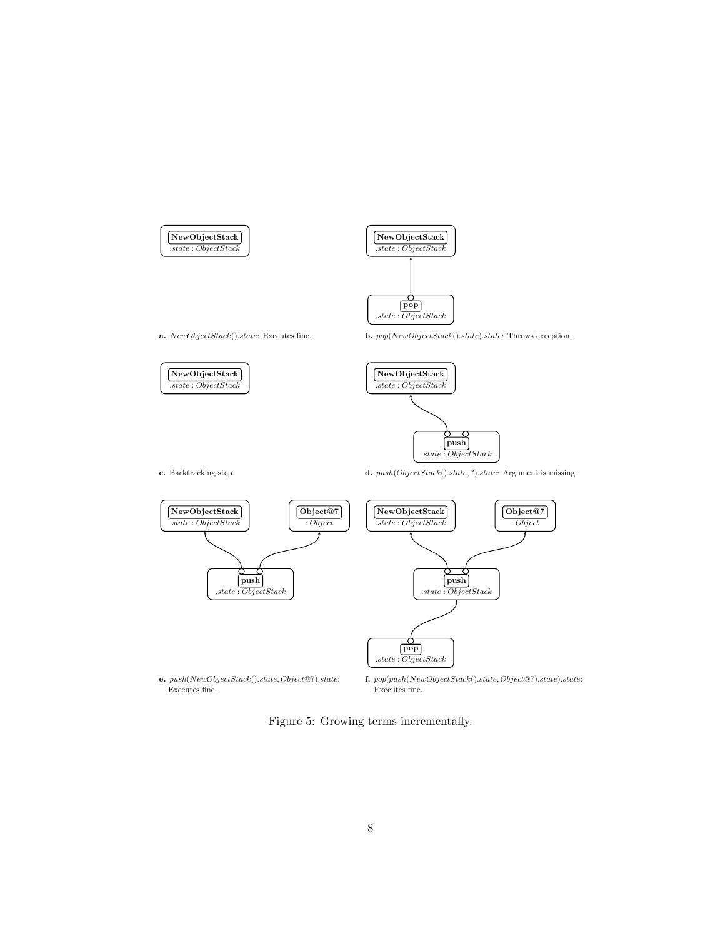



a.  $NewObjectStack().state:$  Executes fine.



c. Backtracking step.



 $\mathbf{d.}~push(ObjectStack().state, ?).state:$  Argument is missing.



Figure 5: Growing terms incrementally.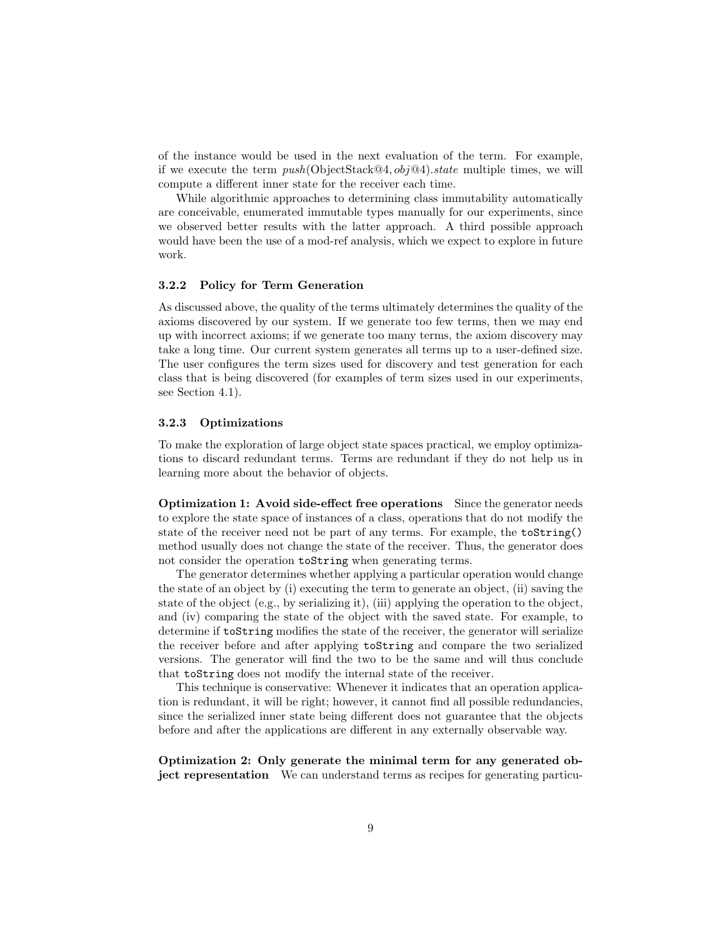of the instance would be used in the next evaluation of the term. For example, if we execute the term  $push(ObjectStack@4, obj@4).state$  multiple times, we will compute a different inner state for the receiver each time.

While algorithmic approaches to determining class immutability automatically are conceivable, enumerated immutable types manually for our experiments, since we observed better results with the latter approach. A third possible approach would have been the use of a mod-ref analysis, which we expect to explore in future work.

### 3.2.2 Policy for Term Generation

As discussed above, the quality of the terms ultimately determines the quality of the axioms discovered by our system. If we generate too few terms, then we may end up with incorrect axioms; if we generate too many terms, the axiom discovery may take a long time. Our current system generates all terms up to a user-defined size. The user configures the term sizes used for discovery and test generation for each class that is being discovered (for examples of term sizes used in our experiments, see Section 4.1).

### 3.2.3 Optimizations

To make the exploration of large object state spaces practical, we employ optimizations to discard redundant terms. Terms are redundant if they do not help us in learning more about the behavior of objects.

Optimization 1: Avoid side-effect free operations Since the generator needs to explore the state space of instances of a class, operations that do not modify the state of the receiver need not be part of any terms. For example, the toString() method usually does not change the state of the receiver. Thus, the generator does not consider the operation toString when generating terms.

The generator determines whether applying a particular operation would change the state of an object by (i) executing the term to generate an object, (ii) saving the state of the object (e.g., by serializing it), (iii) applying the operation to the object, and (iv) comparing the state of the object with the saved state. For example, to determine if toString modifies the state of the receiver, the generator will serialize the receiver before and after applying toString and compare the two serialized versions. The generator will find the two to be the same and will thus conclude that toString does not modify the internal state of the receiver.

This technique is conservative: Whenever it indicates that an operation application is redundant, it will be right; however, it cannot find all possible redundancies, since the serialized inner state being different does not guarantee that the objects before and after the applications are different in any externally observable way.

Optimization 2: Only generate the minimal term for any generated object representation We can understand terms as recipes for generating particu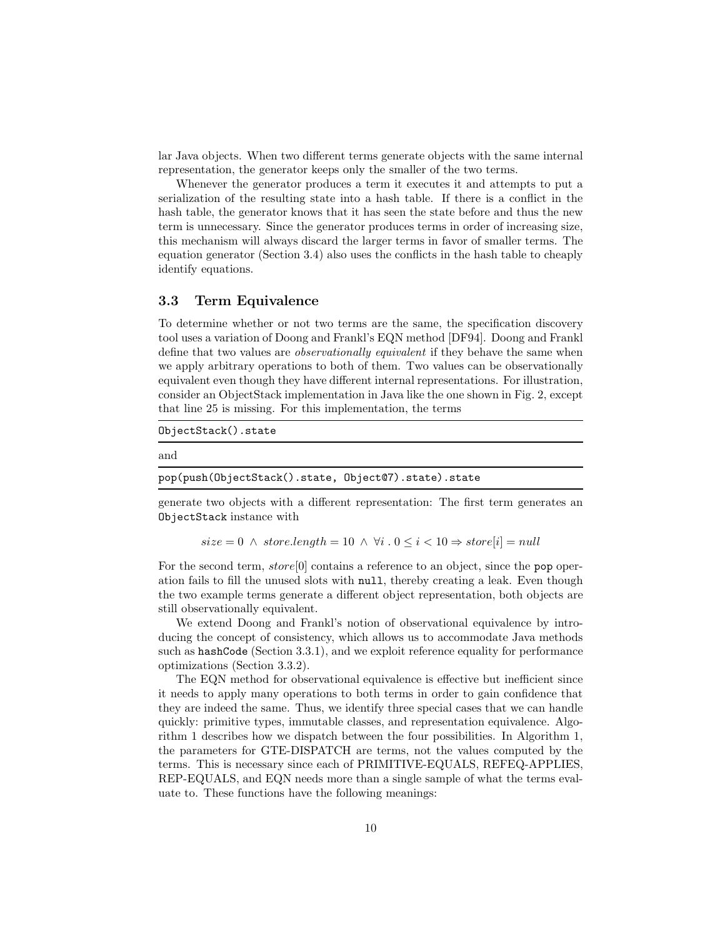lar Java objects. When two different terms generate objects with the same internal representation, the generator keeps only the smaller of the two terms.

Whenever the generator produces a term it executes it and attempts to put a serialization of the resulting state into a hash table. If there is a conflict in the hash table, the generator knows that it has seen the state before and thus the new term is unnecessary. Since the generator produces terms in order of increasing size, this mechanism will always discard the larger terms in favor of smaller terms. The equation generator (Section 3.4) also uses the conflicts in the hash table to cheaply identify equations.

### 3.3 Term Equivalence

To determine whether or not two terms are the same, the specification discovery tool uses a variation of Doong and Frankl's EQN method [DF94]. Doong and Frankl define that two values are observationally equivalent if they behave the same when we apply arbitrary operations to both of them. Two values can be observationally equivalent even though they have different internal representations. For illustration, consider an ObjectStack implementation in Java like the one shown in Fig. 2, except that line 25 is missing. For this implementation, the terms

ObjectStack().state

#### and

pop(push(ObjectStack().state, Object@7).state).state

generate two objects with a different representation: The first term generates an ObjectStack instance with

 $size = 0 \land store.length = 10 \land \forall i \cdot 0 \leq i < 10 \Rightarrow store[i] = null$ 

For the second term,  $store[0]$  contains a reference to an object, since the pop operation fails to fill the unused slots with null, thereby creating a leak. Even though the two example terms generate a different object representation, both objects are still observationally equivalent.

We extend Doong and Frankl's notion of observational equivalence by introducing the concept of consistency, which allows us to accommodate Java methods such as hashCode (Section 3.3.1), and we exploit reference equality for performance optimizations (Section 3.3.2).

The EQN method for observational equivalence is effective but inefficient since it needs to apply many operations to both terms in order to gain confidence that they are indeed the same. Thus, we identify three special cases that we can handle quickly: primitive types, immutable classes, and representation equivalence. Algorithm 1 describes how we dispatch between the four possibilities. In Algorithm 1, the parameters for GTE-DISPATCH are terms, not the values computed by the terms. This is necessary since each of PRIMITIVE-EQUALS, REFEQ-APPLIES, REP-EQUALS, and EQN needs more than a single sample of what the terms evaluate to. These functions have the following meanings: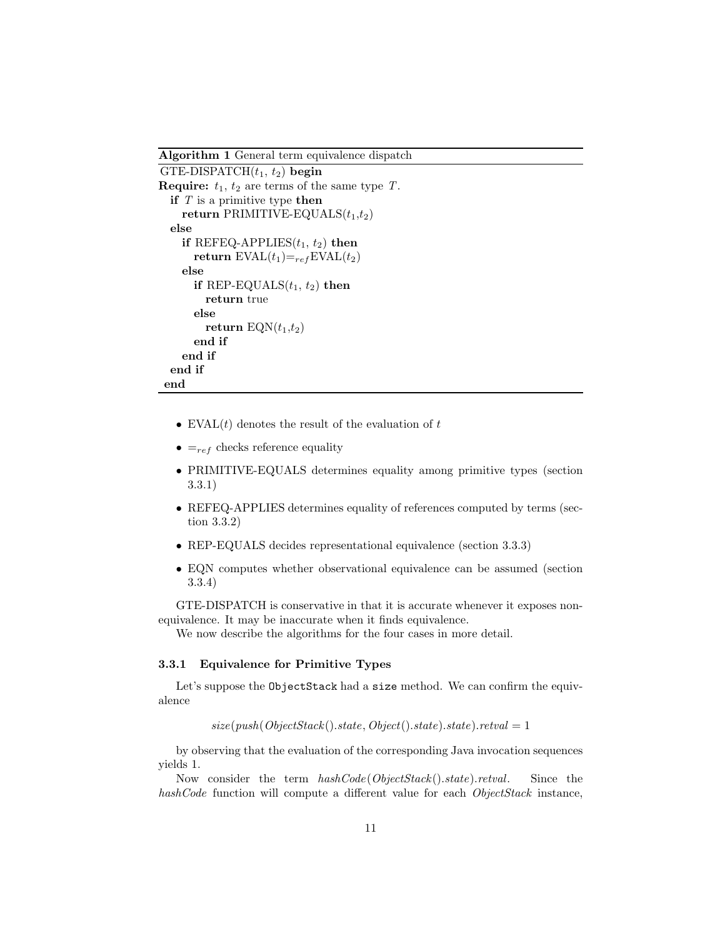Algorithm 1 General term equivalence dispatch

```
GTE-DISPATCH(t_1, t_2) begin
Require: t_1, t_2 are terms of the same type T.
  if T is a primitive type then
    return PRIMITIVE-EQUALS(t_1,t_2)else
    if REFEQ-APPLIES(t_1, t_2) then
      return EVAL(t_1)=_{ref}EVAL(t_2)else
      if REP-EQUALS(t_1, t_2) then
        return true
      else
        return EQN(t_1,t_2)end if
    end if
  end if
end
```
- EVAL $(t)$  denotes the result of the evaluation of  $t$
- $\bullet$  =<sub>ref</sub> checks reference equality
- PRIMITIVE-EQUALS determines equality among primitive types (section 3.3.1)
- REFEQ-APPLIES determines equality of references computed by terms (section 3.3.2)
- REP-EQUALS decides representational equivalence (section 3.3.3)
- EQN computes whether observational equivalence can be assumed (section 3.3.4)

GTE-DISPATCH is conservative in that it is accurate whenever it exposes nonequivalence. It may be inaccurate when it finds equivalence.

We now describe the algorithms for the four cases in more detail.

### 3.3.1 Equivalence for Primitive Types

Let's suppose the ObjectStack had a size method. We can confirm the equivalence

 $size(push(ObjectStack().state, Object().state).state).rate) = 1$ 

by observing that the evaluation of the corresponding Java invocation sequences yields 1.

Now consider the term  $hashCode(ObjectStack().state).retval.$  Since the hashCode function will compute a different value for each ObjectStack instance,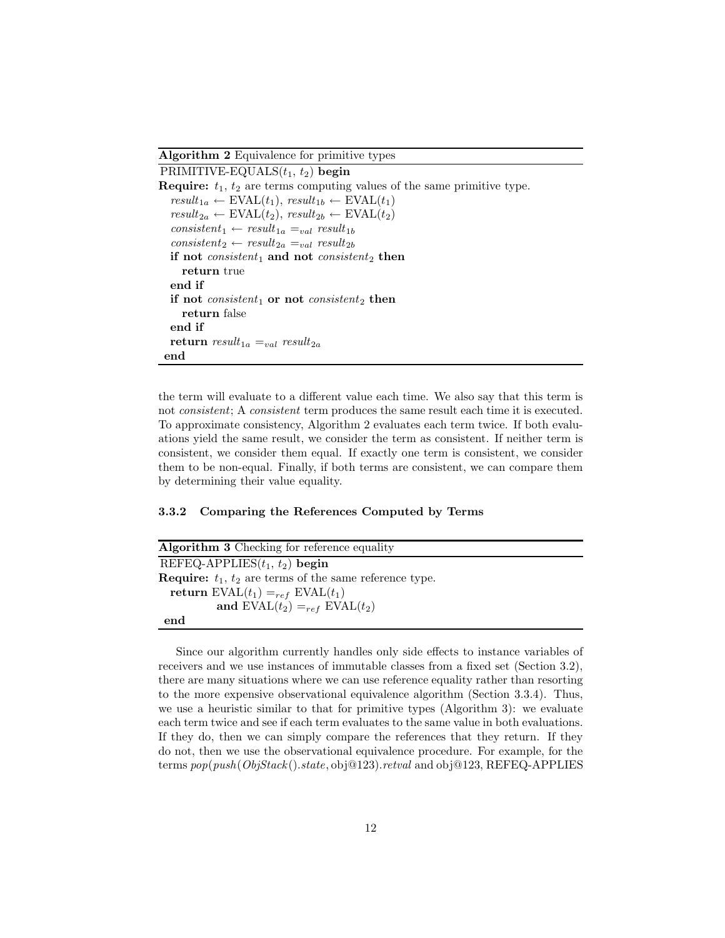### Algorithm 2 Equivalence for primitive types

```
PRIMITIVE-EQUALS(t_1, t_2) begin
Require: t_1, t_2 are terms computing values of the same primitive type.
   result_{1a} \leftarrow \text{EVAL}(t_1), \, result_{1b} \leftarrow \text{EVAL}(t_1)result_{2a} \leftarrow \text{EVAL}(t_2), \, result_{2b} \leftarrow \text{EVAL}(t_2)consistent_1 \leftarrow result_{1a} =_{val} result_{1b}consistent<sub>2</sub> ← result<sub>2a</sub> =<sub>val</sub> result<sub>2b</sub>
  if not consistent<sub>1</sub> and not consistent<sub>2</sub> then
      return true
  end if
  if not consistent<sub>1</sub> or not consistent<sub>2</sub> then
      return false
  end if
  return result_{1a} =_{val} result_{2a}end
```
the term will evaluate to a different value each time. We also say that this term is not consistent; A consistent term produces the same result each time it is executed. To approximate consistency, Algorithm 2 evaluates each term twice. If both evaluations yield the same result, we consider the term as consistent. If neither term is consistent, we consider them equal. If exactly one term is consistent, we consider them to be non-equal. Finally, if both terms are consistent, we can compare them by determining their value equality.

#### 3.3.2 Comparing the References Computed by Terms

| Algorithm 3 Checking for reference equality                         |
|---------------------------------------------------------------------|
| REFEQ-APPLIES $(t_1, t_2)$ begin                                    |
| <b>Require:</b> $t_1$ , $t_2$ are terms of the same reference type. |
| return $EVAL(t_1) =_{ref} EVAL(t_1)$                                |
| and $EVAL(t_2) =_{ref} EVAL(t_2)$                                   |
| end                                                                 |

Since our algorithm currently handles only side effects to instance variables of receivers and we use instances of immutable classes from a fixed set (Section 3.2), there are many situations where we can use reference equality rather than resorting to the more expensive observational equivalence algorithm (Section 3.3.4). Thus, we use a heuristic similar to that for primitive types (Algorithm 3): we evaluate each term twice and see if each term evaluates to the same value in both evaluations. If they do, then we can simply compare the references that they return. If they do not, then we use the observational equivalence procedure. For example, for the terms  $pop(push(ObjStack().state, obj@123).retval$  and  $obj@123, REFEQ-APPLIES$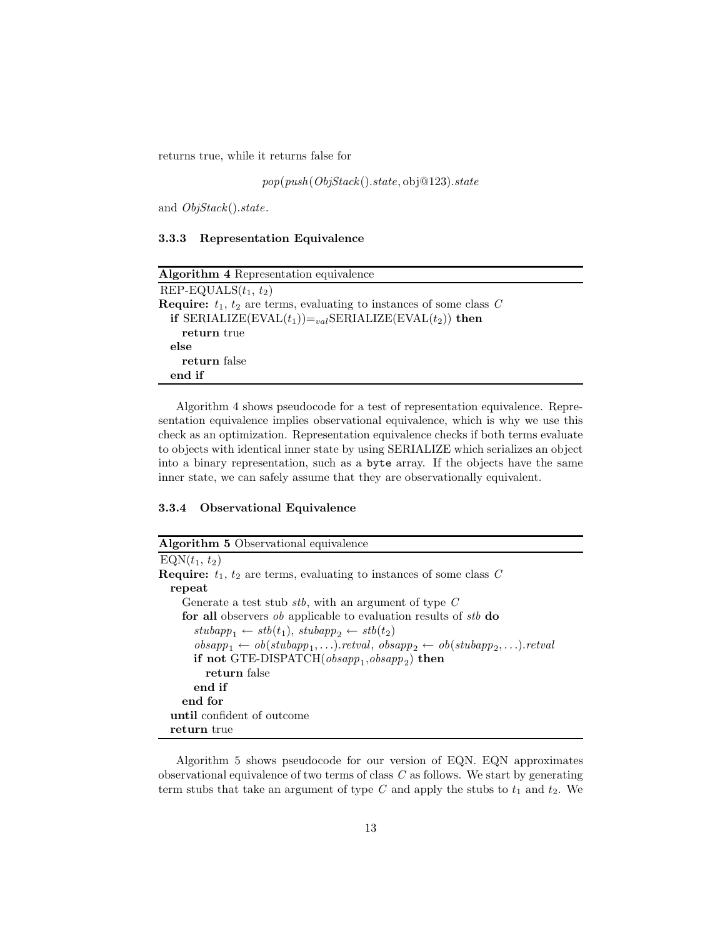returns true, while it returns false for

pop(push(ObjStack ().state, obj@123).state

and ObjStack().state.

3.3.3 Representation Equivalence

| Algorithm 4 Representation equivalence                                           |
|----------------------------------------------------------------------------------|
| REP-EQUALS $(t_1, t_2)$                                                          |
| <b>Require:</b> $t_1$ , $t_2$ are terms, evaluating to instances of some class C |
| if SERIALIZE(EVAL $(t_1)$ )= <sub>val</sub> SERIALIZE(EVAL $(t_2)$ ) then        |
| return true                                                                      |
| else                                                                             |
| return false                                                                     |
| end if                                                                           |

Algorithm 4 shows pseudocode for a test of representation equivalence. Representation equivalence implies observational equivalence, which is why we use this check as an optimization. Representation equivalence checks if both terms evaluate to objects with identical inner state by using SERIALIZE which serializes an object into a binary representation, such as a byte array. If the objects have the same inner state, we can safely assume that they are observationally equivalent.

# 3.3.4 Observational Equivalence

| <b>Algorithm 5</b> Observational equivalence                                                                                    |
|---------------------------------------------------------------------------------------------------------------------------------|
| $EQN(t_1, t_2)$                                                                                                                 |
| <b>Require:</b> $t_1$ , $t_2$ are terms, evaluating to instances of some class C                                                |
| repeat                                                                                                                          |
| Generate a test stub $stb$ , with an argument of type $C$                                                                       |
| for all observers <i>ob</i> applicable to evaluation results of <i>stb</i> do                                                   |
| $\mathit{stubapp}_1 \leftarrow \mathit{stb}(t_1), \mathit{stubapp}_2 \leftarrow \mathit{stb}(t_2)$                              |
| $obsapp_1 \leftarrow \textit{ob}(stubapp_1, \ldots).retval, \textit{obsapp}_2 \leftarrow \textit{ob}(stubapp_2, \ldots).retval$ |
| if not GTE-DISPATCH( $obsapp_1, obsapp_2$ ) then                                                                                |
| return false                                                                                                                    |
| end if                                                                                                                          |
| end for                                                                                                                         |
| until confident of outcome                                                                                                      |
| return true                                                                                                                     |

Algorithm 5 shows pseudocode for our version of EQN. EQN approximates observational equivalence of two terms of class  $C$  as follows. We start by generating term stubs that take an argument of type  $C$  and apply the stubs to  $t_1$  and  $t_2$ . We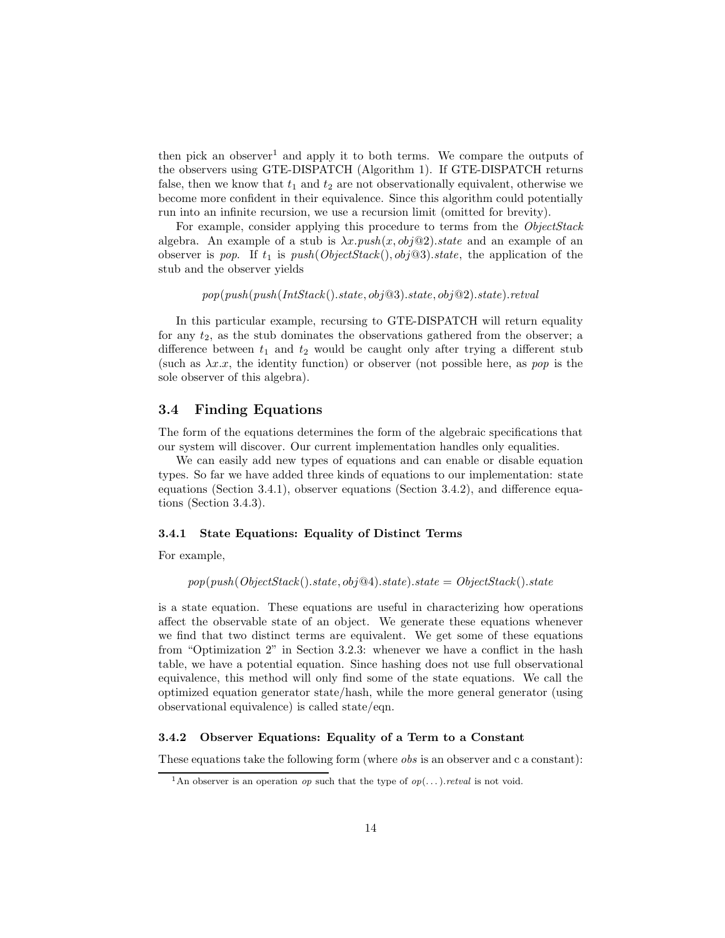then pick an observer<sup>1</sup> and apply it to both terms. We compare the outputs of the observers using GTE-DISPATCH (Algorithm 1). If GTE-DISPATCH returns false, then we know that  $t_1$  and  $t_2$  are not observationally equivalent, otherwise we become more confident in their equivalence. Since this algorithm could potentially run into an infinite recursion, we use a recursion limit (omitted for brevity).

For example, consider applying this procedure to terms from the ObjectStack algebra. An example of a stub is  $\lambda x.push(x, obj@2).state$  and an example of an observer is pop. If  $t_1$  is push(ObjectStack(), obj@3).state, the application of the stub and the observer yields

 $pop(push(push(IntStack(),state, obj@3),state, obj@2),state).retval$ 

In this particular example, recursing to GTE-DISPATCH will return equality for any  $t_2$ , as the stub dominates the observations gathered from the observer; a difference between  $t_1$  and  $t_2$  would be caught only after trying a different stub (such as  $\lambda x.x$ , the identity function) or observer (not possible here, as pop is the sole observer of this algebra).

### 3.4 Finding Equations

The form of the equations determines the form of the algebraic specifications that our system will discover. Our current implementation handles only equalities.

We can easily add new types of equations and can enable or disable equation types. So far we have added three kinds of equations to our implementation: state equations (Section 3.4.1), observer equations (Section 3.4.2), and difference equations (Section 3.4.3).

### 3.4.1 State Equations: Equality of Distinct Terms

For example,

$$
pop(push(ObjectStack().state, obj@4).state).state = ObjectStack().state
$$

is a state equation. These equations are useful in characterizing how operations affect the observable state of an object. We generate these equations whenever we find that two distinct terms are equivalent. We get some of these equations from "Optimization 2" in Section 3.2.3: whenever we have a conflict in the hash table, we have a potential equation. Since hashing does not use full observational equivalence, this method will only find some of the state equations. We call the optimized equation generator state/hash, while the more general generator (using observational equivalence) is called state/eqn.

### 3.4.2 Observer Equations: Equality of a Term to a Constant

These equations take the following form (where obs is an observer and c a constant):

<sup>&</sup>lt;sup>1</sup>An observer is an operation *op* such that the type of  $op(...)$ . *retval* is not void.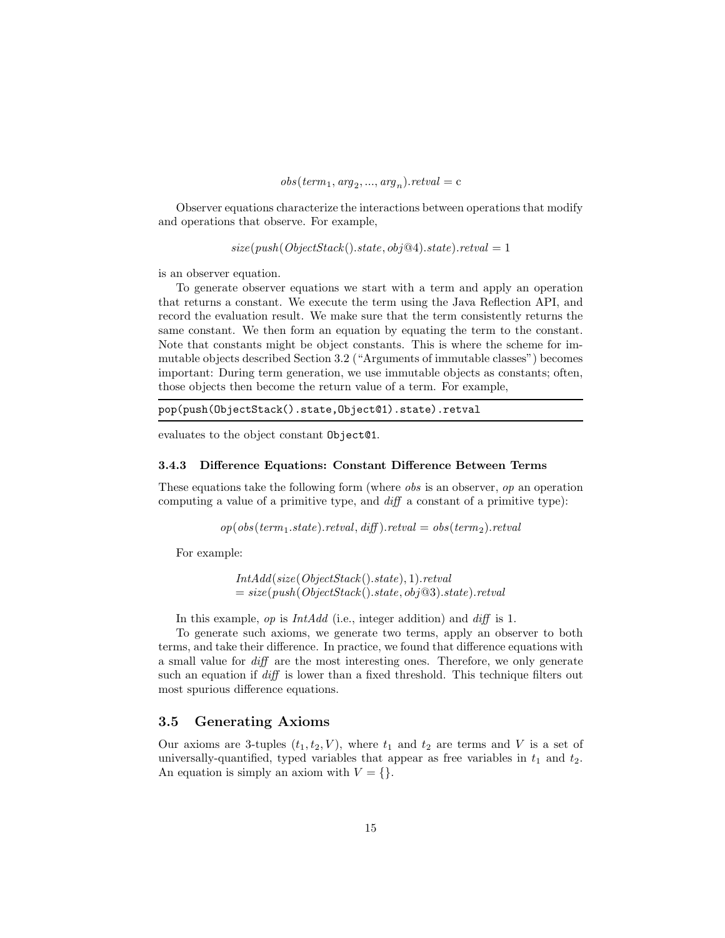$$
obs(term_1, arg_2, ..., arg_n).retval = c
$$

Observer equations characterize the interactions between operations that modify and operations that observe. For example,

 $size(push(ObjectStack().state, obj@4).state).retval = 1$ 

is an observer equation.

To generate observer equations we start with a term and apply an operation that returns a constant. We execute the term using the Java Reflection API, and record the evaluation result. We make sure that the term consistently returns the same constant. We then form an equation by equating the term to the constant. Note that constants might be object constants. This is where the scheme for immutable objects described Section 3.2 ("Arguments of immutable classes") becomes important: During term generation, we use immutable objects as constants; often, those objects then become the return value of a term. For example,

```
pop(push(ObjectStack().state,Object@1).state).retval
```
evaluates to the object constant Object@1.

#### 3.4.3 Difference Equations: Constant Difference Between Terms

These equations take the following form (where obs is an observer, op an operation computing a value of a primitive type, and diff a constant of a primitive type):

 $op(obs(term_1.state).retval, diff).retval = obs(term_2).retval$ 

For example:

IntAdd(size(ObjectStack ().state), 1).retval  $= size(push(ObjectStack().state, obj@3).state).reval$ 

In this example, *op* is *IntAdd* (i.e., integer addition) and *diff* is 1.

To generate such axioms, we generate two terms, apply an observer to both terms, and take their difference. In practice, we found that difference equations with a small value for diff are the most interesting ones. Therefore, we only generate such an equation if diff is lower than a fixed threshold. This technique filters out most spurious difference equations.

### 3.5 Generating Axioms

Our axioms are 3-tuples  $(t_1, t_2, V)$ , where  $t_1$  and  $t_2$  are terms and V is a set of universally-quantified, typed variables that appear as free variables in  $t_1$  and  $t_2$ . An equation is simply an axiom with  $V = \{\}.$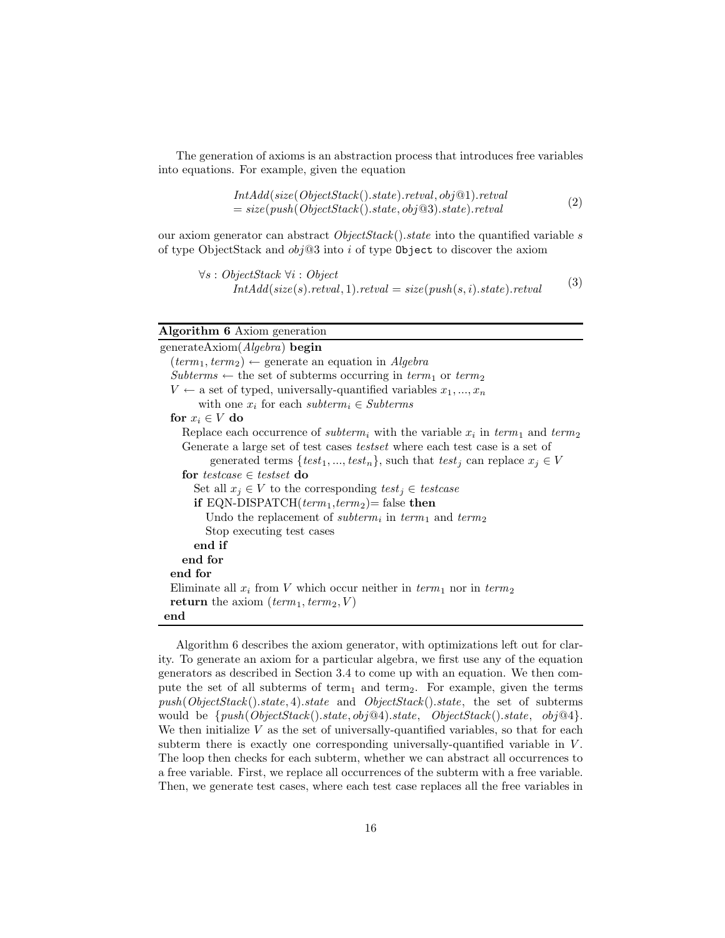The generation of axioms is an abstraction process that introduces free variables into equations. For example, given the equation

$$
IntAdd(size(ObjectStack().state).retval, obj@1).retval= size(push(ObjectStack().state, obj@3).state).retval
$$
\n(2)

our axiom generator can abstract  $ObjectStack()$ . state into the quantified variable s of type ObjectStack and  $obj@3$  into i of type Object to discover the axiom

$$
\forall s : ObjectStack \ \forall i : Object
$$
  

$$
IntAdd(size(s).retval, 1).retval = size(push(s, i).state).retval
$$
 (3)

# Algorithm 6 Axiom generation

| generateAxiom(Algebra) begin                                                                                              |
|---------------------------------------------------------------------------------------------------------------------------|
| $(\text{term}_1, \text{term}_2) \leftarrow$ generate an equation in Algebra                                               |
| $Subterms \leftarrow$ the set of subterms occurring in $term_1$ or $term_2$                                               |
| $V \leftarrow$ a set of typed, universally-quantified variables $x_1, , x_n$                                              |
| with one $x_i$ for each subterm, $\in Subterms$                                                                           |
| for $x_i \in V$ do                                                                                                        |
| Replace each occurrence of <i>subterm</i> <sub>i</sub> with the variable $x_i$ in term <sub>1</sub> and term <sub>2</sub> |
| Generate a large set of test cases <i>testset</i> where each test case is a set of                                        |
| generated terms $\{test_1, , test_n\}$ , such that $test_j$ can replace $x_j \in V$                                       |
| for testcase $\in$ testset do                                                                                             |
| Set all $x_j \in V$ to the corresponding $test_j \in testcase$                                                            |
| if EQN-DISPATCH $(\text{term}_1, \text{term}_2)$ = false then                                                             |
| Undo the replacement of <i>subterm<sub>i</sub></i> in term <sub>1</sub> and term <sub>2</sub>                             |
| Stop executing test cases                                                                                                 |
| end if                                                                                                                    |
| end for                                                                                                                   |
| end for                                                                                                                   |
| Eliminate all $x_i$ from V which occur neither in $term_1$ nor in $term_2$                                                |
| <b>return</b> the axiom $term_1, term_2, V$                                                                               |
| end                                                                                                                       |

Algorithm 6 describes the axiom generator, with optimizations left out for clarity. To generate an axiom for a particular algebra, we first use any of the equation generators as described in Section 3.4 to come up with an equation. We then compute the set of all subterms of term<sub>1</sub> and term<sub>2</sub>. For example, given the terms  $push(ObjectStack().state, 4).state$  and  $ObjectStack().state$ , the set of subterms would be  $\{push(ObjectStack().state, obj@4).state, ObjectStack().state, obj@4\}.$ We then initialize  $V$  as the set of universally-quantified variables, so that for each subterm there is exactly one corresponding universally-quantified variable in  $V$ . The loop then checks for each subterm, whether we can abstract all occurrences to a free variable. First, we replace all occurrences of the subterm with a free variable. Then, we generate test cases, where each test case replaces all the free variables in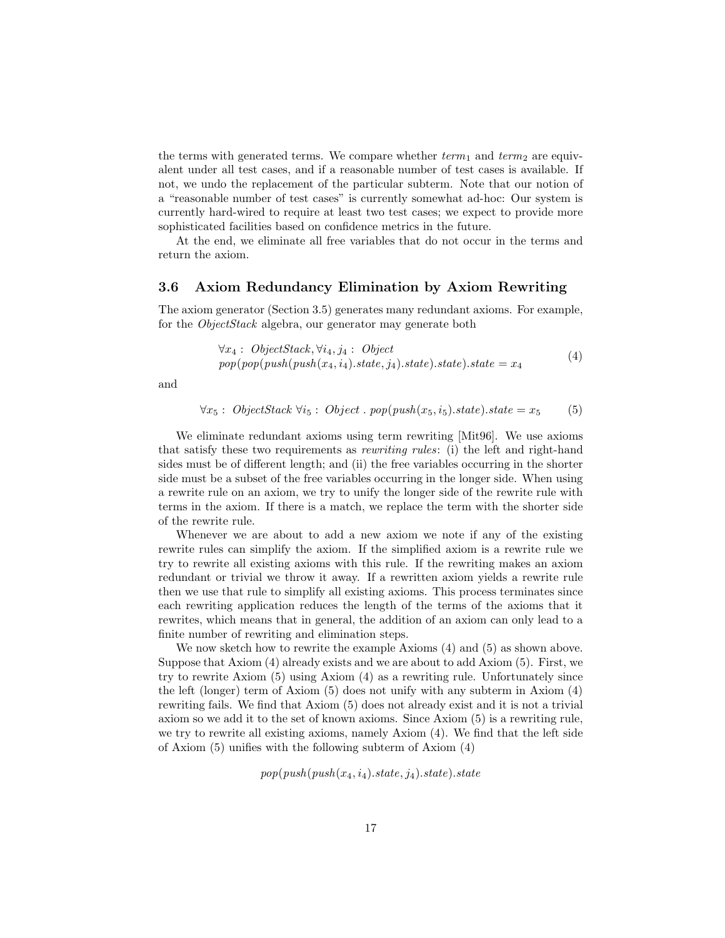the terms with generated terms. We compare whether  $term_1$  and  $term_2$  are equivalent under all test cases, and if a reasonable number of test cases is available. If not, we undo the replacement of the particular subterm. Note that our notion of a "reasonable number of test cases" is currently somewhat ad-hoc: Our system is currently hard-wired to require at least two test cases; we expect to provide more sophisticated facilities based on confidence metrics in the future.

At the end, we eliminate all free variables that do not occur in the terms and return the axiom.

### 3.6 Axiom Redundancy Elimination by Axiom Rewriting

The axiom generator (Section 3.5) generates many redundant axioms. For example, for the *ObjectStack* algebra, our generator may generate both

$$
\forall x_4: ObjectStack, \forall i_4, j_4: Objectpop(pop(push(push(x_4, i_4).state, j_4).state).state) .state = x_4
$$
(4)

and

$$
\forall x_5: ObjectStack \,\forall i_5: Object \, . \, pop(push(x_5, i_5).state).state = x_5 \tag{5}
$$

We eliminate redundant axioms using term rewriting [Mit96]. We use axioms that satisfy these two requirements as rewriting rules: (i) the left and right-hand sides must be of different length; and (ii) the free variables occurring in the shorter side must be a subset of the free variables occurring in the longer side. When using a rewrite rule on an axiom, we try to unify the longer side of the rewrite rule with terms in the axiom. If there is a match, we replace the term with the shorter side of the rewrite rule.

Whenever we are about to add a new axiom we note if any of the existing rewrite rules can simplify the axiom. If the simplified axiom is a rewrite rule we try to rewrite all existing axioms with this rule. If the rewriting makes an axiom redundant or trivial we throw it away. If a rewritten axiom yields a rewrite rule then we use that rule to simplify all existing axioms. This process terminates since each rewriting application reduces the length of the terms of the axioms that it rewrites, which means that in general, the addition of an axiom can only lead to a finite number of rewriting and elimination steps.

We now sketch how to rewrite the example Axioms  $(4)$  and  $(5)$  as shown above. Suppose that Axiom (4) already exists and we are about to add Axiom (5). First, we try to rewrite Axiom (5) using Axiom (4) as a rewriting rule. Unfortunately since the left (longer) term of Axiom (5) does not unify with any subterm in Axiom (4) rewriting fails. We find that Axiom (5) does not already exist and it is not a trivial axiom so we add it to the set of known axioms. Since Axiom (5) is a rewriting rule, we try to rewrite all existing axioms, namely Axiom (4). We find that the left side of Axiom (5) unifies with the following subterm of Axiom (4)

 $pop(push(push(x_4, i_4).state, j_4).state).state$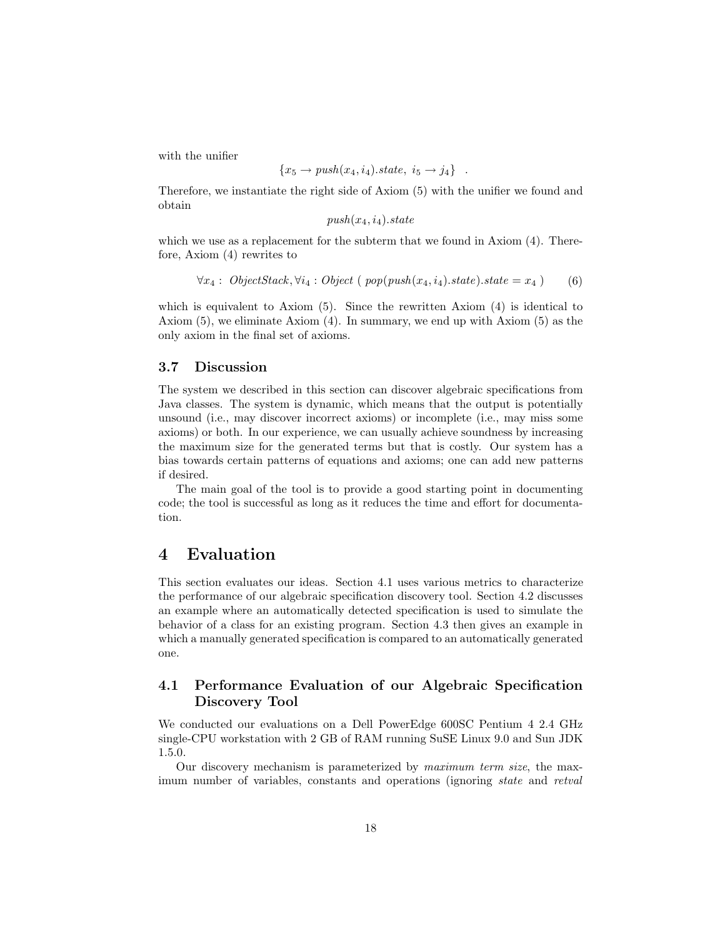with the unifier

$$
\{x_5 \to push(x_4, i_4).state, i_5 \to j_4\} .
$$

Therefore, we instantiate the right side of Axiom (5) with the unifier we found and obtain

 $push(x_4, i_4).state$ 

which we use as a replacement for the subterm that we found in Axiom  $(4)$ . Therefore, Axiom (4) rewrites to

$$
\forall x_4: ObjectStack, \forall i_4: Object (pop(push(x_4, i_4).state).state = x_4)
$$
 (6)

which is equivalent to Axiom (5). Since the rewritten Axiom (4) is identical to Axiom (5), we eliminate Axiom (4). In summary, we end up with Axiom (5) as the only axiom in the final set of axioms.

# 3.7 Discussion

The system we described in this section can discover algebraic specifications from Java classes. The system is dynamic, which means that the output is potentially unsound (i.e., may discover incorrect axioms) or incomplete (i.e., may miss some axioms) or both. In our experience, we can usually achieve soundness by increasing the maximum size for the generated terms but that is costly. Our system has a bias towards certain patterns of equations and axioms; one can add new patterns if desired.

The main goal of the tool is to provide a good starting point in documenting code; the tool is successful as long as it reduces the time and effort for documentation.

# 4 Evaluation

This section evaluates our ideas. Section 4.1 uses various metrics to characterize the performance of our algebraic specification discovery tool. Section 4.2 discusses an example where an automatically detected specification is used to simulate the behavior of a class for an existing program. Section 4.3 then gives an example in which a manually generated specification is compared to an automatically generated one.

# 4.1 Performance Evaluation of our Algebraic Specification Discovery Tool

We conducted our evaluations on a Dell PowerEdge 600SC Pentium 4 2.4 GHz single-CPU workstation with 2 GB of RAM running SuSE Linux 9.0 and Sun JDK 1.5.0.

Our discovery mechanism is parameterized by maximum term size, the maximum number of variables, constants and operations (ignoring state and retval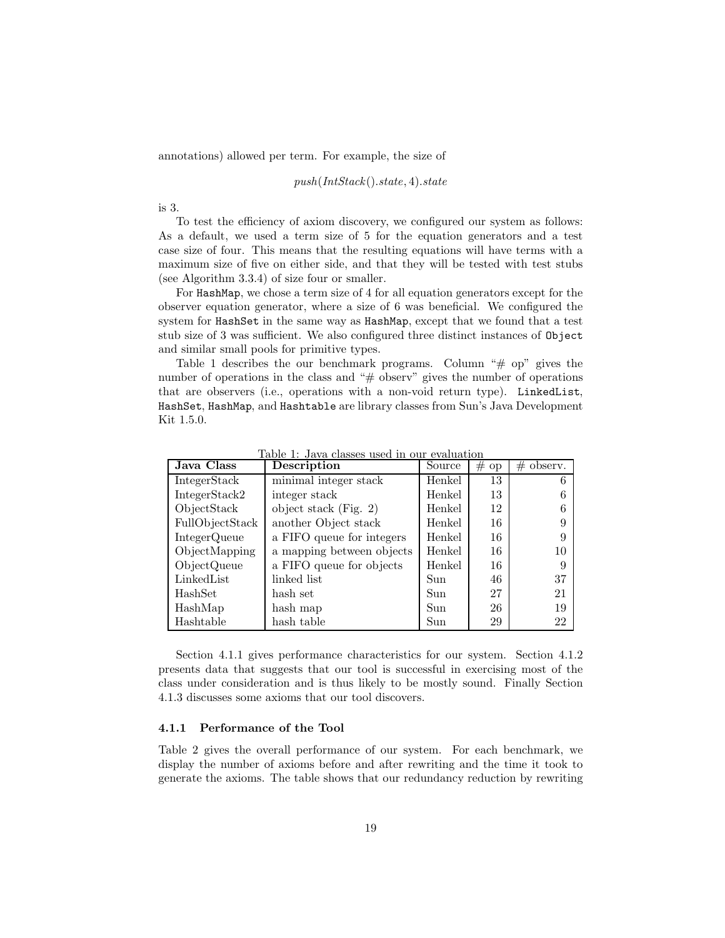annotations) allowed per term. For example, the size of

push(IntStack().state, 4).state

is 3.

To test the efficiency of axiom discovery, we configured our system as follows: As a default, we used a term size of 5 for the equation generators and a test case size of four. This means that the resulting equations will have terms with a maximum size of five on either side, and that they will be tested with test stubs (see Algorithm 3.3.4) of size four or smaller.

For HashMap, we chose a term size of 4 for all equation generators except for the observer equation generator, where a size of 6 was beneficial. We configured the system for HashSet in the same way as HashMap, except that we found that a test stub size of 3 was sufficient. We also configured three distinct instances of Object and similar small pools for primitive types.

Table 1 describes the our benchmark programs. Column " $\#$  op" gives the number of operations in the class and "# observ" gives the number of operations that are observers (i.e., operations with a non-void return type). LinkedList, HashSet, HashMap, and Hashtable are library classes from Sun's Java Development Kit 1.5.0.

| Java Class          | Description               | Source | # op | $\#$ observ. |
|---------------------|---------------------------|--------|------|--------------|
| IntegerStack        | minimal integer stack     | Henkel | 13   |              |
| IntegerStack2       | integer stack             | Henkel | 13   |              |
| ObjectStack         | object stack (Fig. $2)$ ) | Henkel | 12   |              |
| FullObjectStack     | another Object stack      | Henkel | 16   |              |
| <b>IntegerQueue</b> | a FIFO queue for integers | Henkel | 16   |              |
| ObjectMapping       | a mapping between objects | Henkel | 16   | 10           |
| ObjectQueue         | a FIFO queue for objects  | Henkel | 16   | 9            |
| LinkedList          | linked list               | Sun    | 46   | 37           |
| HashSet             | hash set                  | Sun    | 27   | 21           |
| HashMap             | hash map                  | Sun    | 26   | 19           |
| Hashtable           | hash table                | Sun    | 29   | 22           |

Table 1: Java classes used in our evaluation

Section 4.1.1 gives performance characteristics for our system. Section 4.1.2 presents data that suggests that our tool is successful in exercising most of the class under consideration and is thus likely to be mostly sound. Finally Section 4.1.3 discusses some axioms that our tool discovers.

### 4.1.1 Performance of the Tool

Table 2 gives the overall performance of our system. For each benchmark, we display the number of axioms before and after rewriting and the time it took to generate the axioms. The table shows that our redundancy reduction by rewriting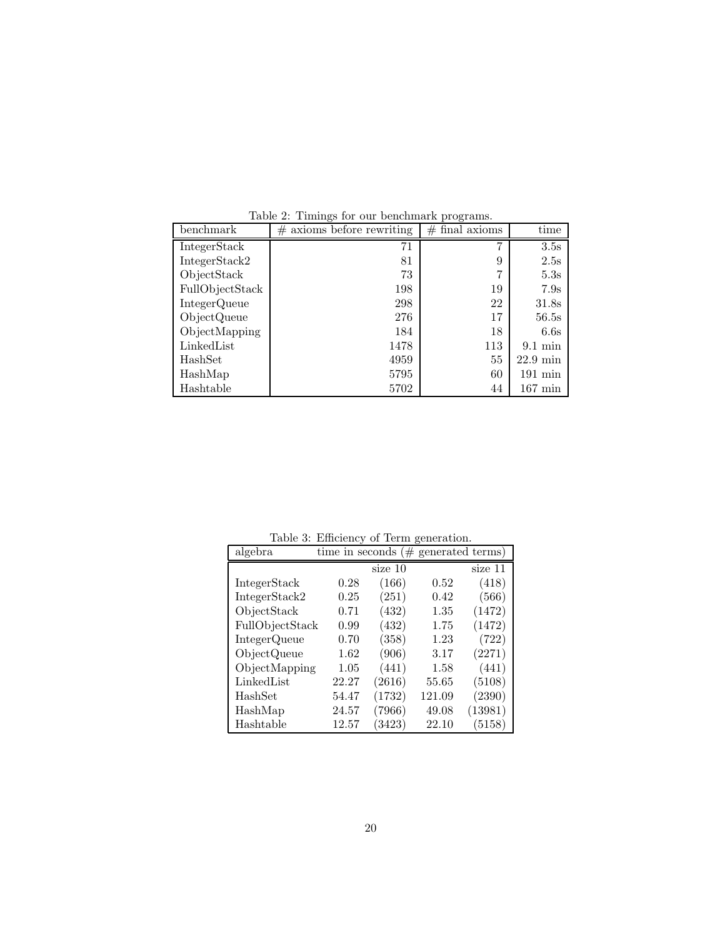| benchmark       | axioms before rewriting<br># | $#$ final axioms | time               |
|-----------------|------------------------------|------------------|--------------------|
| IntegerStack    | 71                           | 7                | 3.5s               |
| IntegerStack2   | 81                           | 9                | 2.5s               |
| ObjectStack     | 73                           | 7                | 5.3s               |
| FullObjectStack | 198                          | 19               | 7.9s               |
| IntegerQueue    | 298                          | 22               | 31.8s              |
| ObjectQueue     | 276                          | 17               | 56.5s              |
| ObjectMapping   | 184                          | 18               | 6.6s               |
| LinkedList      | 1478                         | 113              | $9.1 \text{ min}$  |
| HashSet         | 4959                         | 55               | $22.9 \text{ min}$ |
| HashMap         | 5795                         | 60               | $191 \text{ min}$  |
| Hashtable       | 5702                         | 44               | $167 \text{ min}$  |

Table 2: Timings for our benchmark programs.

| $\alpha$ results. |                 |         |                  |         |
|-------------------|-----------------|---------|------------------|---------|
| algebra           | time in seconds | $(\#$   | generated terms) |         |
|                   |                 | size 10 |                  | size 11 |
| IntegerStack      | 0.28            | (166)   | 0.52             | (418)   |
| IntegerStack2     | 0.25            | (251)   | 0.42             | (566)   |
| ObjectStack       | 0.71            | (432)   | 1.35             | (1472)  |
| FullObjectStack   | 0.99            | (432)   | 1.75             | (1472)  |
| IntegerQueue      | 0.70            | (358)   | 1.23             | (722)   |
| ObjectQueue       | 1.62            | (906)   | 3.17             | (2271)  |
| ObjectMapping     | 1.05            | (441)   | 1.58             | (441)   |
| LinkedList        | 22.27           | (2616)  | 55.65            | (5108)  |
| HashSet           | 54.47           | (1732)  | 121.09           | (2390)  |
| HashMap           | 24.57           | (7966)  | 49.08            | (13981) |
| Hashtable         | 12.57           | (3423)  | 22.10            | (5158)  |

Table 3: Efficiency of Term generation.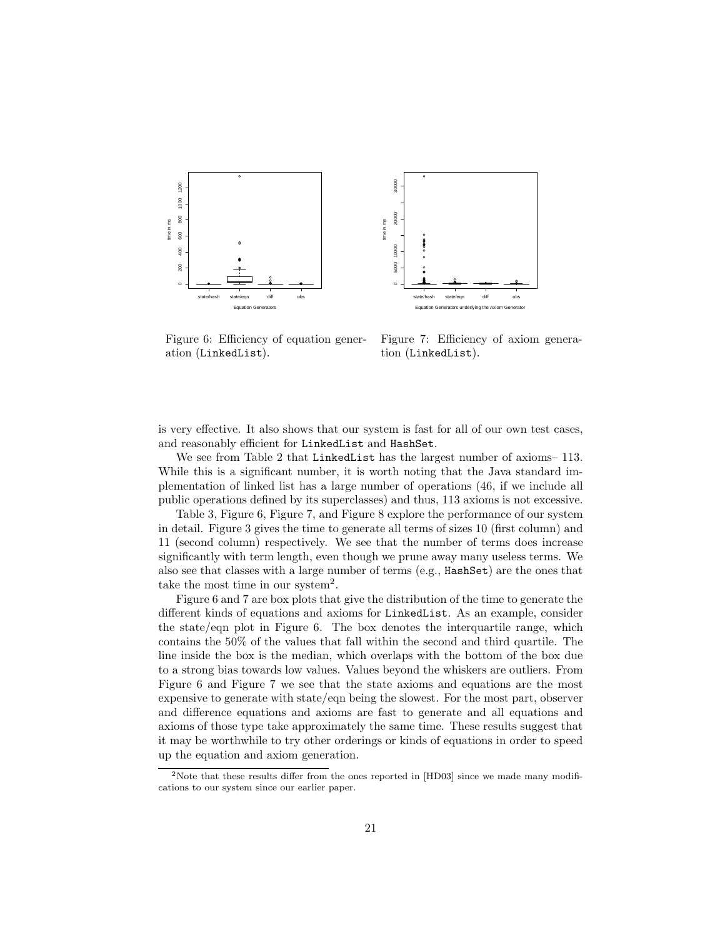



Figure 6: Efficiency of equation generation (LinkedList).

Figure 7: Efficiency of axiom generation (LinkedList).

is very effective. It also shows that our system is fast for all of our own test cases, and reasonably efficient for LinkedList and HashSet.

We see from Table 2 that LinkedList has the largest number of axioms–113. While this is a significant number, it is worth noting that the Java standard implementation of linked list has a large number of operations (46, if we include all public operations defined by its superclasses) and thus, 113 axioms is not excessive.

Table 3, Figure 6, Figure 7, and Figure 8 explore the performance of our system in detail. Figure 3 gives the time to generate all terms of sizes 10 (first column) and 11 (second column) respectively. We see that the number of terms does increase significantly with term length, even though we prune away many useless terms. We also see that classes with a large number of terms  $(e.g., HashSet)$  are the ones that take the most time in our system<sup>2</sup>.

Figure 6 and 7 are box plots that give the distribution of the time to generate the different kinds of equations and axioms for LinkedList. As an example, consider the state/eqn plot in Figure 6. The box denotes the interquartile range, which contains the 50% of the values that fall within the second and third quartile. The line inside the box is the median, which overlaps with the bottom of the box due to a strong bias towards low values. Values beyond the whiskers are outliers. From Figure 6 and Figure 7 we see that the state axioms and equations are the most expensive to generate with state/eqn being the slowest. For the most part, observer and difference equations and axioms are fast to generate and all equations and axioms of those type take approximately the same time. These results suggest that it may be worthwhile to try other orderings or kinds of equations in order to speed up the equation and axiom generation.

<sup>&</sup>lt;sup>2</sup>Note that these results differ from the ones reported in [HD03] since we made many modifications to our system since our earlier paper.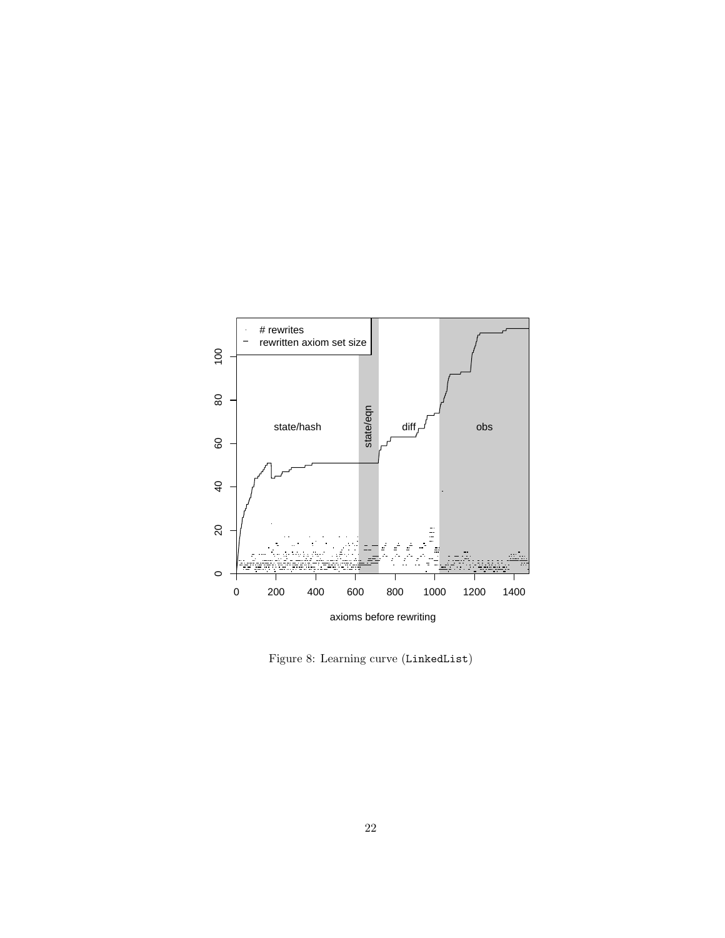

Figure 8: Learning curve (LinkedList)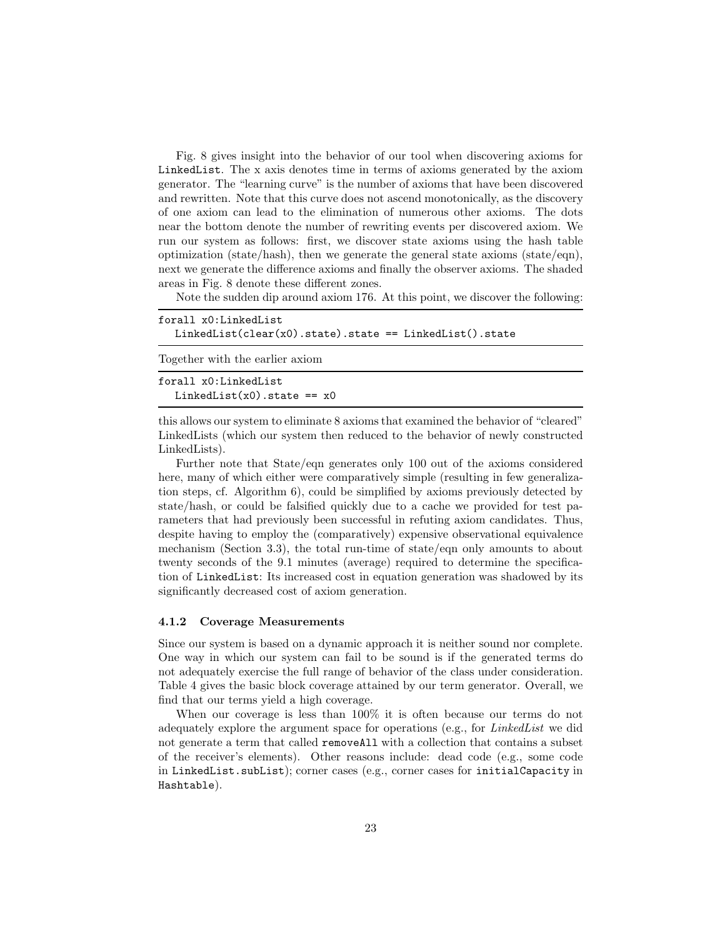Fig. 8 gives insight into the behavior of our tool when discovering axioms for LinkedList. The x axis denotes time in terms of axioms generated by the axiom generator. The "learning curve" is the number of axioms that have been discovered and rewritten. Note that this curve does not ascend monotonically, as the discovery of one axiom can lead to the elimination of numerous other axioms. The dots near the bottom denote the number of rewriting events per discovered axiom. We run our system as follows: first, we discover state axioms using the hash table optimization (state/hash), then we generate the general state axioms (state/eqn), next we generate the difference axioms and finally the observer axioms. The shaded areas in Fig. 8 denote these different zones.

Note the sudden dip around axiom 176. At this point, we discover the following:

| forall x0:LinkedList<br>$LinkedList$ (clear(x0).state).state == $LinkedList()$ .state |
|---------------------------------------------------------------------------------------|
| Together with the earlier axiom                                                       |
| forall x0:LinkedList<br>$LinkedList(x0) .state == x0$                                 |

this allows our system to eliminate 8 axioms that examined the behavior of "cleared" LinkedLists (which our system then reduced to the behavior of newly constructed LinkedLists).

Further note that State/eqn generates only 100 out of the axioms considered here, many of which either were comparatively simple (resulting in few generalization steps, cf. Algorithm 6), could be simplified by axioms previously detected by state/hash, or could be falsified quickly due to a cache we provided for test parameters that had previously been successful in refuting axiom candidates. Thus, despite having to employ the (comparatively) expensive observational equivalence mechanism (Section 3.3), the total run-time of state/eqn only amounts to about twenty seconds of the 9.1 minutes (average) required to determine the specification of LinkedList: Its increased cost in equation generation was shadowed by its significantly decreased cost of axiom generation.

#### 4.1.2 Coverage Measurements

Since our system is based on a dynamic approach it is neither sound nor complete. One way in which our system can fail to be sound is if the generated terms do not adequately exercise the full range of behavior of the class under consideration. Table 4 gives the basic block coverage attained by our term generator. Overall, we find that our terms yield a high coverage.

When our coverage is less than 100% it is often because our terms do not adequately explore the argument space for operations (e.g., for LinkedList we did not generate a term that called removeAll with a collection that contains a subset of the receiver's elements). Other reasons include: dead code (e.g., some code in LinkedList.subList); corner cases (e.g., corner cases for initialCapacity in Hashtable).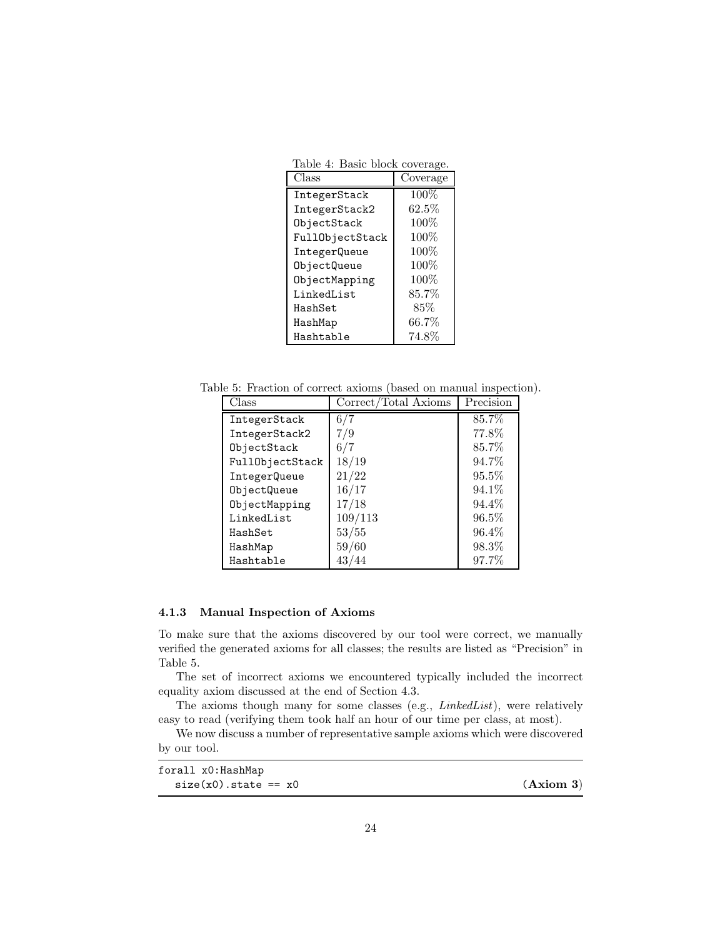Table 4: Basic block coverage.

| Class           | Coverage |
|-----------------|----------|
| IntegerStack    | $100\%$  |
| IntegerStack2   | $62.5\%$ |
| ObjectStack     | 100\%    |
| FullObjectStack | 100%     |
| IntegerQueue    | 100%     |
| ObjectQueue     | 100%     |
| ObjectMapping   | 100%     |
| LinkedList      | $85.7\%$ |
| HashSet         | 85%      |
| HashMap         | $66.7\%$ |
| Hashtable       | 74.8%    |

Table 5: Fraction of correct axioms (based on manual inspection).

| Class           | Correct/Total Axioms | Precision |
|-----------------|----------------------|-----------|
| IntegerStack    | 6/7                  | 85.7%     |
| IntegerStack2   | 7/9                  | 77.8%     |
| ObjectStack     | 6/7                  | 85.7%     |
| FullObjectStack | 18/19                | 94.7%     |
| IntegerQueue    | 21/22                | $95.5\%$  |
| ObjectQueue     | 16/17                | 94.1\%    |
| ObjectMapping   | 17/18                | 94.4%     |
| LinkedList      | 109/113              | $96.5\%$  |
| HashSet         | 53/55                | 96.4%     |
| HashMap         | 59/60                | 98.3%     |
| Hashtable       | 43/44                | 97.7%     |

# 4.1.3 Manual Inspection of Axioms

To make sure that the axioms discovered by our tool were correct, we manually verified the generated axioms for all classes; the results are listed as "Precision" in Table 5.

The set of incorrect axioms we encountered typically included the incorrect equality axiom discussed at the end of Section 4.3.

The axioms though many for some classes (e.g., LinkedList), were relatively easy to read (verifying them took half an hour of our time per class, at most).

We now discuss a number of representative sample axioms which were discovered by our tool.

| forall x0:HashMap          |           |
|----------------------------|-----------|
| $size(x0)$ . state == $x0$ | (Axiom 3) |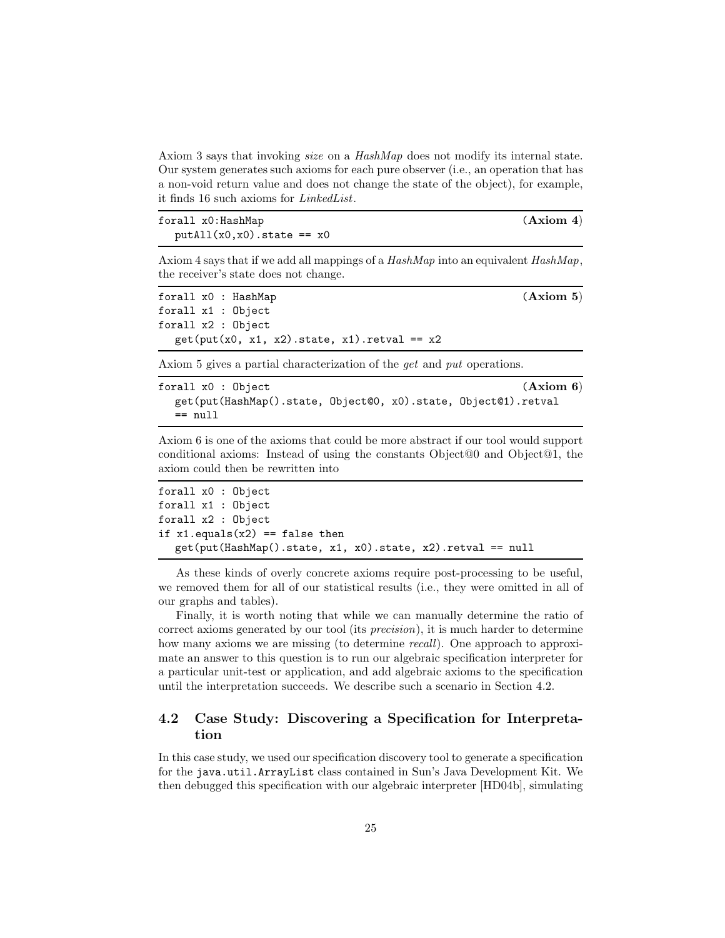Axiom 3 says that invoking size on a HashMap does not modify its internal state. Our system generates such axioms for each pure observer (i.e., an operation that has a non-void return value and does not change the state of the object), for example, it finds 16 such axioms for LinkedList.

| forall x0:HashMap            | (Axiom 4) |
|------------------------------|-----------|
| $putAll(x0,x0) .state == x0$ |           |

Axiom 4 says that if we add all mappings of a  $HashMap$  into an equivalent  $HashMap$ , the receiver's state does not change.

```
forall x0 : HashMap (Axiom 5)
forall x1 : Object
forall x2 : Object
  get(put(x0, x1, x2).state, x1).retval == x2
```
Axiom 5 gives a partial characterization of the *get* and *put* operations.

| forall x0 : Object                                             |  | (Axiom 6) |
|----------------------------------------------------------------|--|-----------|
| get(put(HashMap().state, Object@0, x0).state, Object@1).retval |  |           |
| $==$ null                                                      |  |           |

Axiom 6 is one of the axioms that could be more abstract if our tool would support conditional axioms: Instead of using the constants Object@0 and Object@1, the axiom could then be rewritten into

```
forall x0 : Object
forall x1 : Object
forall x2 : Object
if x1.equals(x2) == false thenget(put(HashMap().state, x1, x0).state, x2).retval == null
```
As these kinds of overly concrete axioms require post-processing to be useful, we removed them for all of our statistical results (i.e., they were omitted in all of our graphs and tables).

Finally, it is worth noting that while we can manually determine the ratio of correct axioms generated by our tool (its precision), it is much harder to determine how many axioms we are missing (to determine *recall*). One approach to approximate an answer to this question is to run our algebraic specification interpreter for a particular unit-test or application, and add algebraic axioms to the specification until the interpretation succeeds. We describe such a scenario in Section 4.2.

# 4.2 Case Study: Discovering a Specification for Interpretation

In this case study, we used our specification discovery tool to generate a specification for the java.util.ArrayList class contained in Sun's Java Development Kit. We then debugged this specification with our algebraic interpreter [HD04b], simulating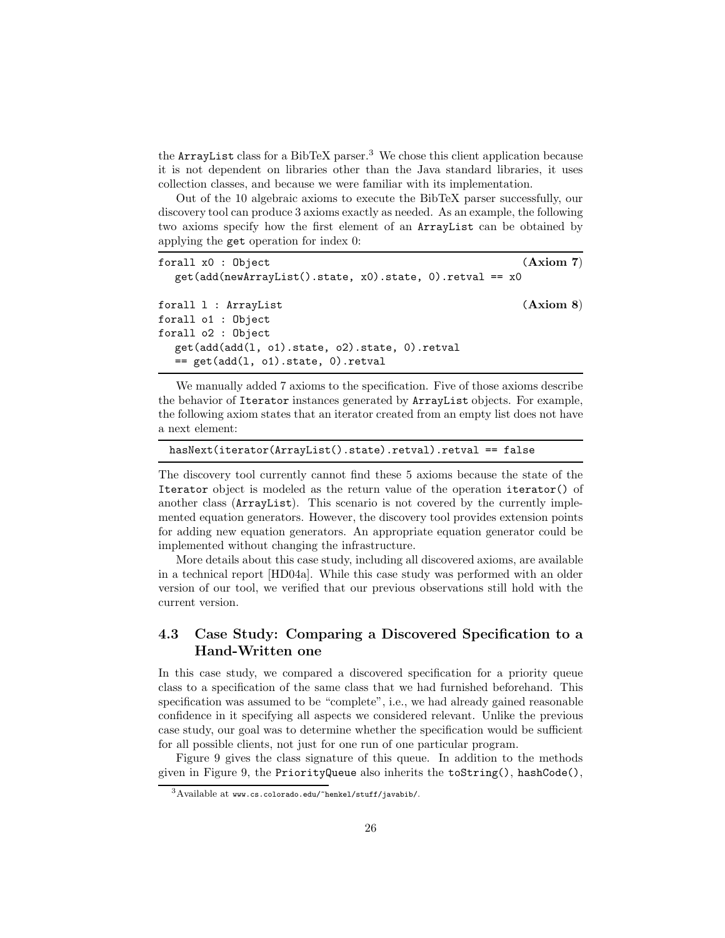the ArrayList class for a BibTeX parser.<sup>3</sup> We chose this client application because it is not dependent on libraries other than the Java standard libraries, it uses collection classes, and because we were familiar with its implementation.

Out of the 10 algebraic axioms to execute the BibTeX parser successfully, our discovery tool can produce 3 axioms exactly as needed. As an example, the following two axioms specify how the first element of an ArrayList can be obtained by applying the get operation for index 0:

```
forall x0 : 0bject (Axiom 7)
  get(add(newArrayList().state, x0).state, 0).retval == x0
forall 1 : ArrayList (Axiom 8)
forall o1 : Object
forall o2 : Object
  get(add(add(l, o1).state, o2).state, 0).retval
  == get(add(l, o1).state, 0).retval
```
We manually added 7 axioms to the specification. Five of those axioms describe the behavior of Iterator instances generated by ArrayList objects. For example, the following axiom states that an iterator created from an empty list does not have a next element:

```
hasNext(iterator(ArrayList().state).retval).retval == false
```
The discovery tool currently cannot find these 5 axioms because the state of the Iterator object is modeled as the return value of the operation iterator() of another class (ArrayList). This scenario is not covered by the currently implemented equation generators. However, the discovery tool provides extension points for adding new equation generators. An appropriate equation generator could be implemented without changing the infrastructure.

More details about this case study, including all discovered axioms, are available in a technical report [HD04a]. While this case study was performed with an older version of our tool, we verified that our previous observations still hold with the current version.

# 4.3 Case Study: Comparing a Discovered Specification to a Hand-Written one

In this case study, we compared a discovered specification for a priority queue class to a specification of the same class that we had furnished beforehand. This specification was assumed to be "complete", i.e., we had already gained reasonable confidence in it specifying all aspects we considered relevant. Unlike the previous case study, our goal was to determine whether the specification would be sufficient for all possible clients, not just for one run of one particular program.

Figure 9 gives the class signature of this queue. In addition to the methods given in Figure 9, the PriorityQueue also inherits the toString(), hashCode(),

<sup>3</sup>Available at www.cs.colorado.edu/~henkel/stuff/javabib/.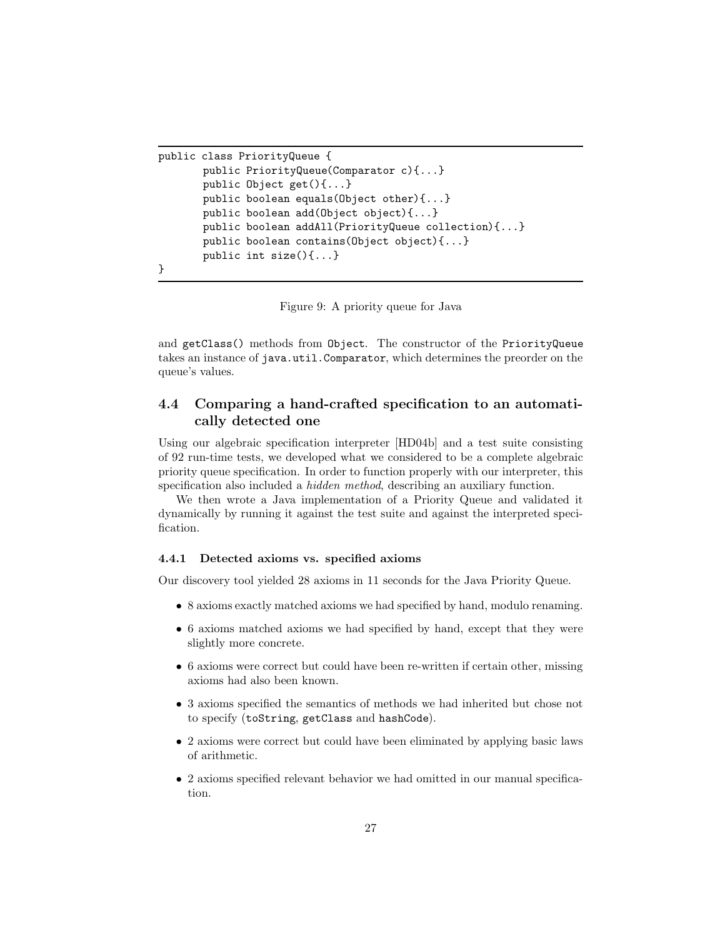```
public class PriorityQueue {
       public PriorityQueue(Comparator c){...}
       public Object get(){...}
       public boolean equals(Object other){...}
       public boolean add(Object object){...}
       public boolean addAll(PriorityQueue collection){...}
       public boolean contains(Object object){...}
       public int size(){...}
}
```
Figure 9: A priority queue for Java

and getClass() methods from Object. The constructor of the PriorityQueue takes an instance of java.util.Comparator, which determines the preorder on the queue's values.

# 4.4 Comparing a hand-crafted specification to an automatically detected one

Using our algebraic specification interpreter [HD04b] and a test suite consisting of 92 run-time tests, we developed what we considered to be a complete algebraic priority queue specification. In order to function properly with our interpreter, this specification also included a *hidden method*, describing an auxiliary function.

We then wrote a Java implementation of a Priority Queue and validated it dynamically by running it against the test suite and against the interpreted specification.

#### 4.4.1 Detected axioms vs. specified axioms

Our discovery tool yielded 28 axioms in 11 seconds for the Java Priority Queue.

- 8 axioms exactly matched axioms we had specified by hand, modulo renaming.
- 6 axioms matched axioms we had specified by hand, except that they were slightly more concrete.
- 6 axioms were correct but could have been re-written if certain other, missing axioms had also been known.
- 3 axioms specified the semantics of methods we had inherited but chose not to specify (toString, getClass and hashCode).
- 2 axioms were correct but could have been eliminated by applying basic laws of arithmetic.
- 2 axioms specified relevant behavior we had omitted in our manual specification.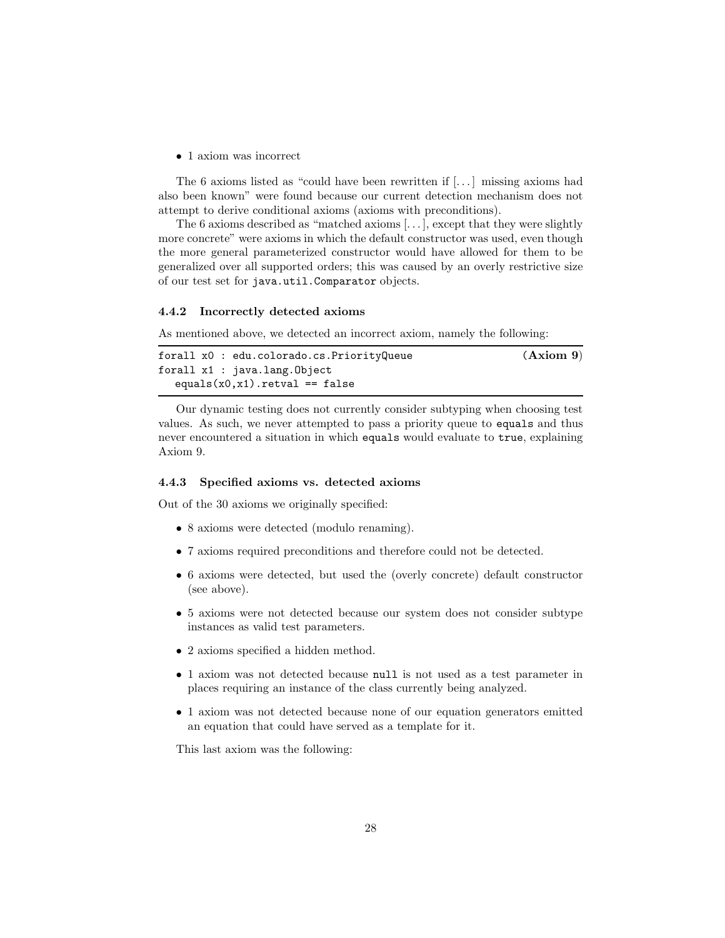• 1 axiom was incorrect

The 6 axioms listed as "could have been rewritten if [. . . ] missing axioms had also been known" were found because our current detection mechanism does not attempt to derive conditional axioms (axioms with preconditions).

The 6 axioms described as "matched axioms [. . . ], except that they were slightly more concrete" were axioms in which the default constructor was used, even though the more general parameterized constructor would have allowed for them to be generalized over all supported orders; this was caused by an overly restrictive size of our test set for java.util.Comparator objects.

### 4.4.2 Incorrectly detected axioms

As mentioned above, we detected an incorrect axiom, namely the following:

```
forall x0 : edu.colorado.cs.PriorityQueue (Axiom 9)
forall x1 : java.lang.Object
  equals(x0, x1) .retval == false
```
Our dynamic testing does not currently consider subtyping when choosing test values. As such, we never attempted to pass a priority queue to equals and thus never encountered a situation in which equals would evaluate to true, explaining Axiom 9.

### 4.4.3 Specified axioms vs. detected axioms

Out of the 30 axioms we originally specified:

- 8 axioms were detected (modulo renaming).
- 7 axioms required preconditions and therefore could not be detected.
- 6 axioms were detected, but used the (overly concrete) default constructor (see above).
- 5 axioms were not detected because our system does not consider subtype instances as valid test parameters.
- 2 axioms specified a hidden method.
- 1 axiom was not detected because null is not used as a test parameter in places requiring an instance of the class currently being analyzed.
- 1 axiom was not detected because none of our equation generators emitted an equation that could have served as a template for it.

This last axiom was the following: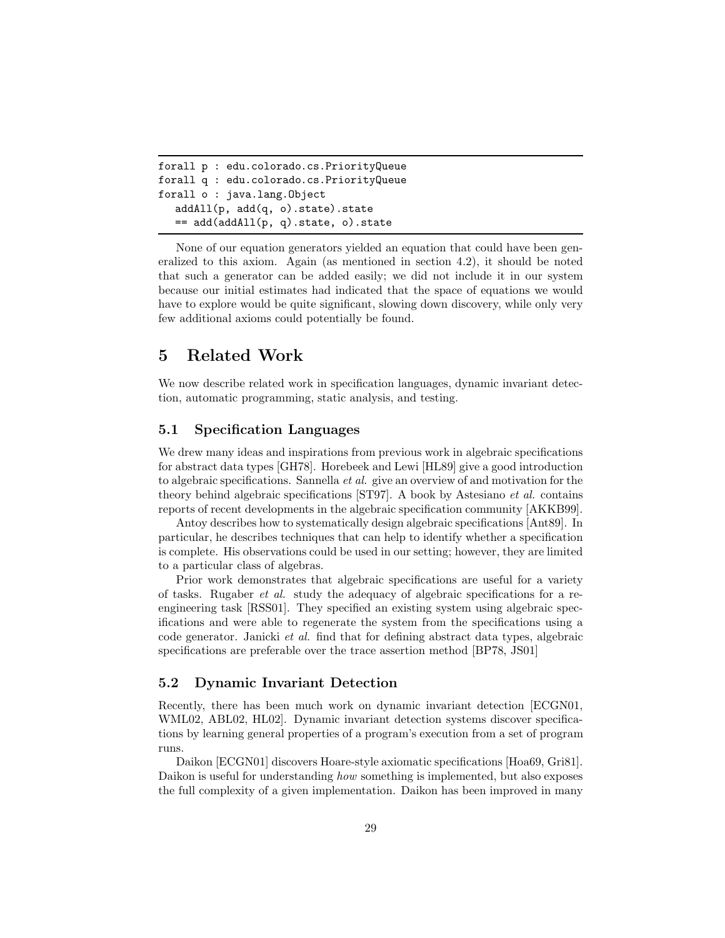```
forall p : edu.colorado.cs.PriorityQueue
forall q : edu.colorado.cs.PriorityQueue
forall o : java.lang.Object
  addAll(p, add(q, o).state).state
  == add(addAll(p, q).state, o).state
```
None of our equation generators yielded an equation that could have been generalized to this axiom. Again (as mentioned in section 4.2), it should be noted that such a generator can be added easily; we did not include it in our system because our initial estimates had indicated that the space of equations we would have to explore would be quite significant, slowing down discovery, while only very few additional axioms could potentially be found.

# 5 Related Work

We now describe related work in specification languages, dynamic invariant detection, automatic programming, static analysis, and testing.

# 5.1 Specification Languages

We drew many ideas and inspirations from previous work in algebraic specifications for abstract data types [GH78]. Horebeek and Lewi [HL89] give a good introduction to algebraic specifications. Sannella et al. give an overview of and motivation for the theory behind algebraic specifications [ST97]. A book by Astesiano et al. contains reports of recent developments in the algebraic specification community [AKKB99].

Antoy describes how to systematically design algebraic specifications [Ant89]. In particular, he describes techniques that can help to identify whether a specification is complete. His observations could be used in our setting; however, they are limited to a particular class of algebras.

Prior work demonstrates that algebraic specifications are useful for a variety of tasks. Rugaber et al. study the adequacy of algebraic specifications for a reengineering task [RSS01]. They specified an existing system using algebraic specifications and were able to regenerate the system from the specifications using a code generator. Janicki et al. find that for defining abstract data types, algebraic specifications are preferable over the trace assertion method [BP78, JS01]

# 5.2 Dynamic Invariant Detection

Recently, there has been much work on dynamic invariant detection [ECGN01, WML02, ABL02, HL02]. Dynamic invariant detection systems discover specifications by learning general properties of a program's execution from a set of program runs.

Daikon [ECGN01] discovers Hoare-style axiomatic specifications [Hoa69, Gri81]. Daikon is useful for understanding how something is implemented, but also exposes the full complexity of a given implementation. Daikon has been improved in many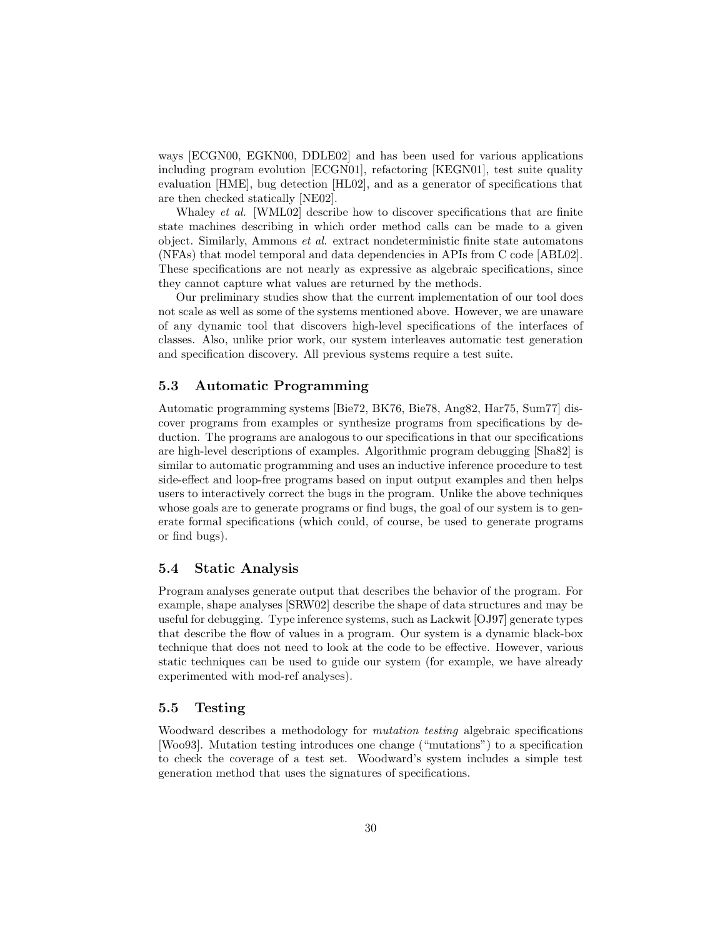ways [ECGN00, EGKN00, DDLE02] and has been used for various applications including program evolution [ECGN01], refactoring [KEGN01], test suite quality evaluation [HME], bug detection [HL02], and as a generator of specifications that are then checked statically [NE02].

Whaley *et al.* [WML02] describe how to discover specifications that are finite state machines describing in which order method calls can be made to a given object. Similarly, Ammons et al. extract nondeterministic finite state automatons (NFAs) that model temporal and data dependencies in APIs from C code [ABL02]. These specifications are not nearly as expressive as algebraic specifications, since they cannot capture what values are returned by the methods.

Our preliminary studies show that the current implementation of our tool does not scale as well as some of the systems mentioned above. However, we are unaware of any dynamic tool that discovers high-level specifications of the interfaces of classes. Also, unlike prior work, our system interleaves automatic test generation and specification discovery. All previous systems require a test suite.

### 5.3 Automatic Programming

Automatic programming systems [Bie72, BK76, Bie78, Ang82, Har75, Sum77] discover programs from examples or synthesize programs from specifications by deduction. The programs are analogous to our specifications in that our specifications are high-level descriptions of examples. Algorithmic program debugging [Sha82] is similar to automatic programming and uses an inductive inference procedure to test side-effect and loop-free programs based on input output examples and then helps users to interactively correct the bugs in the program. Unlike the above techniques whose goals are to generate programs or find bugs, the goal of our system is to generate formal specifications (which could, of course, be used to generate programs or find bugs).

### 5.4 Static Analysis

Program analyses generate output that describes the behavior of the program. For example, shape analyses [SRW02] describe the shape of data structures and may be useful for debugging. Type inference systems, such as Lackwit [OJ97] generate types that describe the flow of values in a program. Our system is a dynamic black-box technique that does not need to look at the code to be effective. However, various static techniques can be used to guide our system (for example, we have already experimented with mod-ref analyses).

### 5.5 Testing

Woodward describes a methodology for *mutation testing* algebraic specifications [Woo93]. Mutation testing introduces one change ("mutations") to a specification to check the coverage of a test set. Woodward's system includes a simple test generation method that uses the signatures of specifications.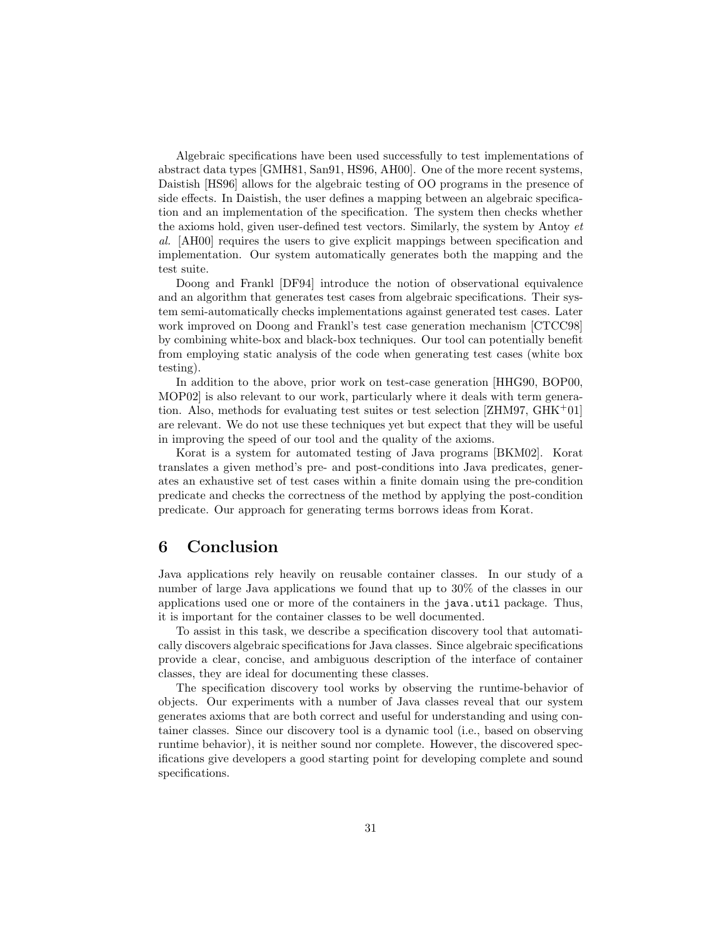Algebraic specifications have been used successfully to test implementations of abstract data types [GMH81, San91, HS96, AH00]. One of the more recent systems, Daistish [HS96] allows for the algebraic testing of OO programs in the presence of side effects. In Daistish, the user defines a mapping between an algebraic specification and an implementation of the specification. The system then checks whether the axioms hold, given user-defined test vectors. Similarly, the system by Antoy et al. [AH00] requires the users to give explicit mappings between specification and implementation. Our system automatically generates both the mapping and the test suite.

Doong and Frankl [DF94] introduce the notion of observational equivalence and an algorithm that generates test cases from algebraic specifications. Their system semi-automatically checks implementations against generated test cases. Later work improved on Doong and Frankl's test case generation mechanism [CTCC98] by combining white-box and black-box techniques. Our tool can potentially benefit from employing static analysis of the code when generating test cases (white box testing).

In addition to the above, prior work on test-case generation [HHG90, BOP00, MOP02] is also relevant to our work, particularly where it deals with term generation. Also, methods for evaluating test suites or test selection [ZHM97, GHK<sup>+</sup>01] are relevant. We do not use these techniques yet but expect that they will be useful in improving the speed of our tool and the quality of the axioms.

Korat is a system for automated testing of Java programs [BKM02]. Korat translates a given method's pre- and post-conditions into Java predicates, generates an exhaustive set of test cases within a finite domain using the pre-condition predicate and checks the correctness of the method by applying the post-condition predicate. Our approach for generating terms borrows ideas from Korat.

# 6 Conclusion

Java applications rely heavily on reusable container classes. In our study of a number of large Java applications we found that up to 30% of the classes in our applications used one or more of the containers in the java.util package. Thus, it is important for the container classes to be well documented.

To assist in this task, we describe a specification discovery tool that automatically discovers algebraic specifications for Java classes. Since algebraic specifications provide a clear, concise, and ambiguous description of the interface of container classes, they are ideal for documenting these classes.

The specification discovery tool works by observing the runtime-behavior of objects. Our experiments with a number of Java classes reveal that our system generates axioms that are both correct and useful for understanding and using container classes. Since our discovery tool is a dynamic tool (i.e., based on observing runtime behavior), it is neither sound nor complete. However, the discovered specifications give developers a good starting point for developing complete and sound specifications.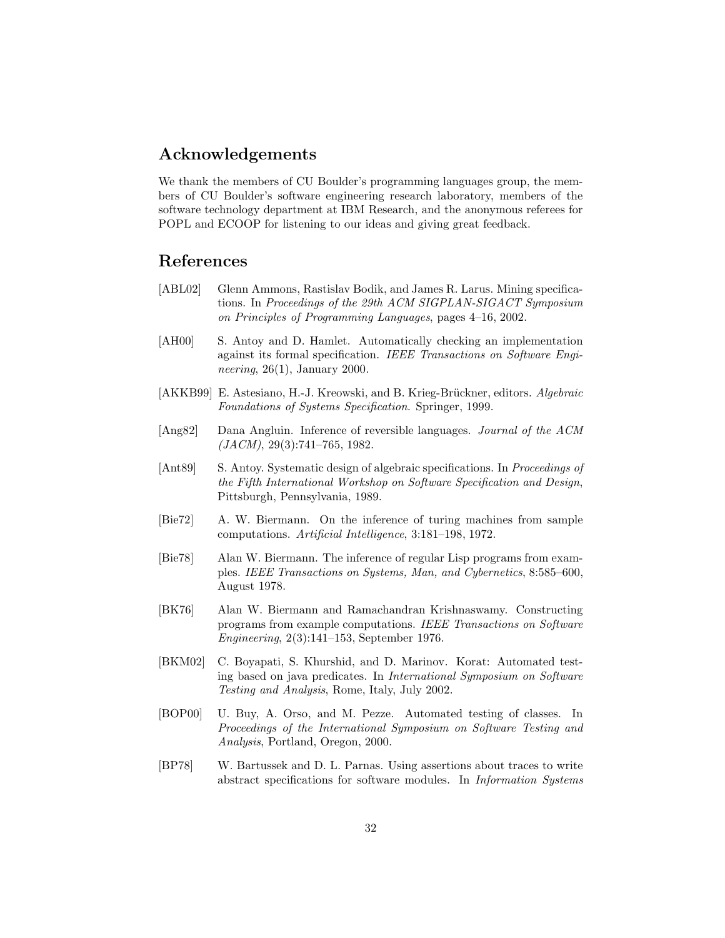# Acknowledgements

We thank the members of CU Boulder's programming languages group, the members of CU Boulder's software engineering research laboratory, members of the software technology department at IBM Research, and the anonymous referees for POPL and ECOOP for listening to our ideas and giving great feedback.

# References

- [ABL02] Glenn Ammons, Rastislav Bodik, and James R. Larus. Mining specifications. In Proceedings of the 29th ACM SIGPLAN-SIGACT Symposium on Principles of Programming Languages, pages 4–16, 2002.
- [AH00] S. Antoy and D. Hamlet. Automatically checking an implementation against its formal specification. IEEE Transactions on Software Engineering,  $26(1)$ , January 2000.
- [AKKB99] E. Astesiano, H.-J. Kreowski, and B. Krieg-Brückner, editors. Algebraic Foundations of Systems Specification. Springer, 1999.
- [Ang82] Dana Angluin. Inference of reversible languages. Journal of the ACM  $(JACM)$ , 29(3):741–765, 1982.
- [Ant89] S. Antoy. Systematic design of algebraic specifications. In *Proceedings of* the Fifth International Workshop on Software Specification and Design, Pittsburgh, Pennsylvania, 1989.
- [Bie72] A. W. Biermann. On the inference of turing machines from sample computations. Artificial Intelligence, 3:181–198, 1972.
- [Bie78] Alan W. Biermann. The inference of regular Lisp programs from examples. IEEE Transactions on Systems, Man, and Cybernetics, 8:585–600, August 1978.
- [BK76] Alan W. Biermann and Ramachandran Krishnaswamy. Constructing programs from example computations. IEEE Transactions on Software Engineering, 2(3):141–153, September 1976.
- [BKM02] C. Boyapati, S. Khurshid, and D. Marinov. Korat: Automated testing based on java predicates. In International Symposium on Software Testing and Analysis, Rome, Italy, July 2002.
- [BOP00] U. Buy, A. Orso, and M. Pezze. Automated testing of classes. In Proceedings of the International Symposium on Software Testing and Analysis, Portland, Oregon, 2000.
- [BP78] W. Bartussek and D. L. Parnas. Using assertions about traces to write abstract specifications for software modules. In Information Systems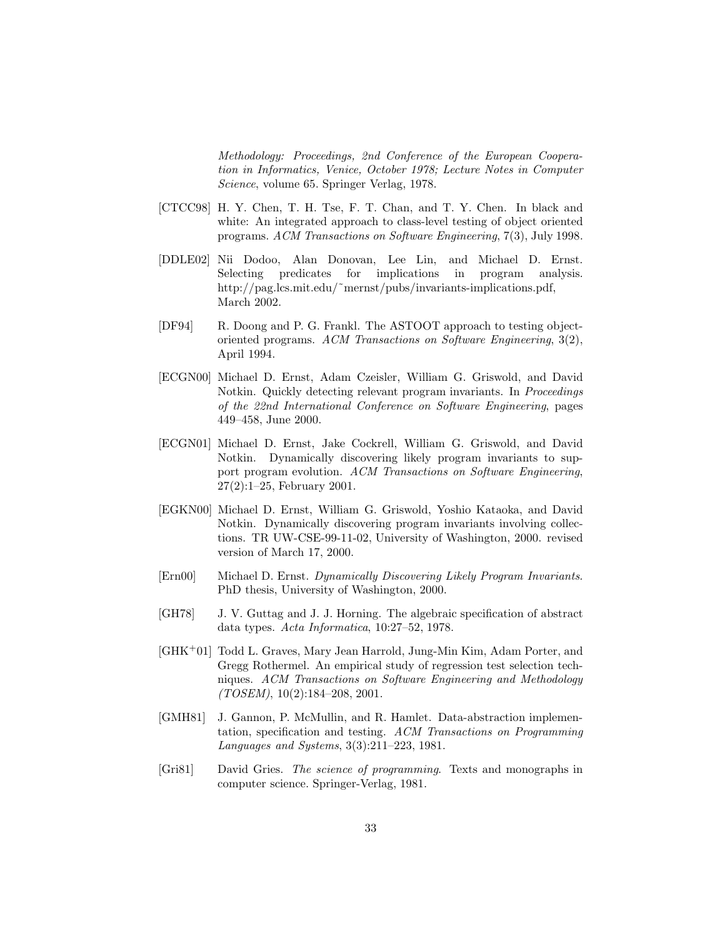Methodology: Proceedings, 2nd Conference of the European Cooperation in Informatics, Venice, October 1978; Lecture Notes in Computer Science, volume 65. Springer Verlag, 1978.

- [CTCC98] H. Y. Chen, T. H. Tse, F. T. Chan, and T. Y. Chen. In black and white: An integrated approach to class-level testing of object oriented programs. ACM Transactions on Software Engineering, 7(3), July 1998.
- [DDLE02] Nii Dodoo, Alan Donovan, Lee Lin, and Michael D. Ernst. Selecting predicates for implications in program analysis. http://pag.lcs.mit.edu/~mernst/pubs/invariants-implications.pdf, March 2002.
- [DF94] R. Doong and P. G. Frankl. The ASTOOT approach to testing objectoriented programs. ACM Transactions on Software Engineering, 3(2), April 1994.
- [ECGN00] Michael D. Ernst, Adam Czeisler, William G. Griswold, and David Notkin. Quickly detecting relevant program invariants. In Proceedings of the 22nd International Conference on Software Engineering, pages 449–458, June 2000.
- [ECGN01] Michael D. Ernst, Jake Cockrell, William G. Griswold, and David Notkin. Dynamically discovering likely program invariants to support program evolution. ACM Transactions on Software Engineering, 27(2):1–25, February 2001.
- [EGKN00] Michael D. Ernst, William G. Griswold, Yoshio Kataoka, and David Notkin. Dynamically discovering program invariants involving collections. TR UW-CSE-99-11-02, University of Washington, 2000. revised version of March 17, 2000.
- [Ern00] Michael D. Ernst. Dynamically Discovering Likely Program Invariants. PhD thesis, University of Washington, 2000.
- [GH78] J. V. Guttag and J. J. Horning. The algebraic specification of abstract data types. Acta Informatica, 10:27–52, 1978.
- [GHK<sup>+</sup>01] Todd L. Graves, Mary Jean Harrold, Jung-Min Kim, Adam Porter, and Gregg Rothermel. An empirical study of regression test selection techniques. ACM Transactions on Software Engineering and Methodology  $(TOSEM)$ , 10(2):184-208, 2001.
- [GMH81] J. Gannon, P. McMullin, and R. Hamlet. Data-abstraction implementation, specification and testing. ACM Transactions on Programming Languages and Systems, 3(3):211–223, 1981.
- [Gri81] David Gries. The science of programming. Texts and monographs in computer science. Springer-Verlag, 1981.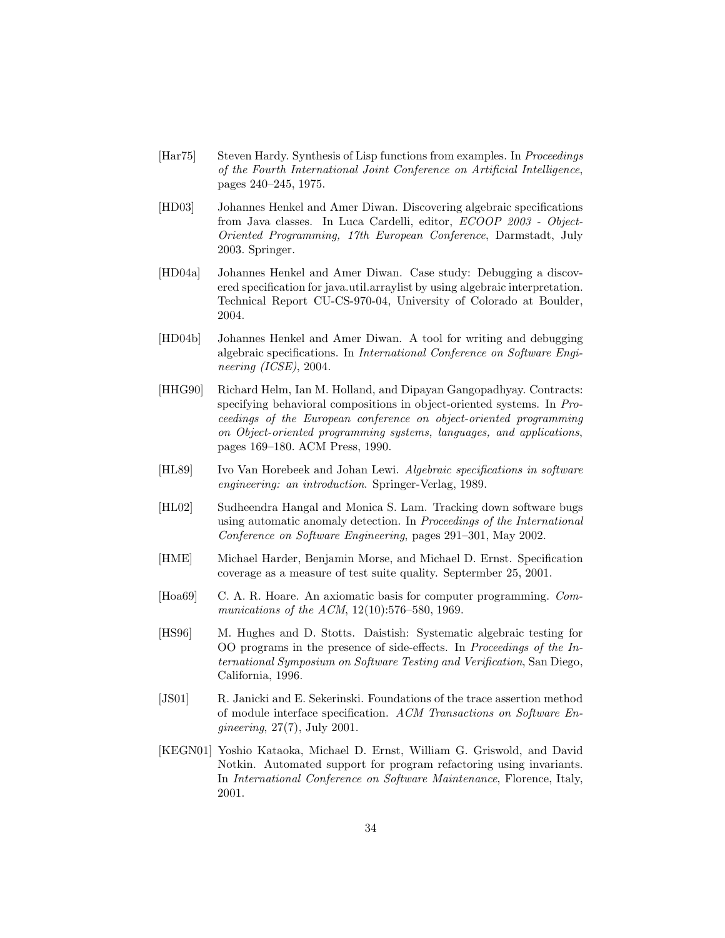- [Har75] Steven Hardy. Synthesis of Lisp functions from examples. In Proceedings of the Fourth International Joint Conference on Artificial Intelligence, pages 240–245, 1975.
- [HD03] Johannes Henkel and Amer Diwan. Discovering algebraic specifications from Java classes. In Luca Cardelli, editor, ECOOP 2003 - Object-Oriented Programming, 17th European Conference, Darmstadt, July 2003. Springer.
- [HD04a] Johannes Henkel and Amer Diwan. Case study: Debugging a discovered specification for java.util.arraylist by using algebraic interpretation. Technical Report CU-CS-970-04, University of Colorado at Boulder, 2004.
- [HD04b] Johannes Henkel and Amer Diwan. A tool for writing and debugging algebraic specifications. In International Conference on Software Engineering (ICSE), 2004.
- [HHG90] Richard Helm, Ian M. Holland, and Dipayan Gangopadhyay. Contracts: specifying behavioral compositions in object-oriented systems. In Proceedings of the European conference on object-oriented programming on Object-oriented programming systems, languages, and applications, pages 169–180. ACM Press, 1990.
- [HL89] Ivo Van Horebeek and Johan Lewi. Algebraic specifications in software engineering: an introduction. Springer-Verlag, 1989.
- [HL02] Sudheendra Hangal and Monica S. Lam. Tracking down software bugs using automatic anomaly detection. In Proceedings of the International Conference on Software Engineering, pages 291–301, May 2002.
- [HME] Michael Harder, Benjamin Morse, and Michael D. Ernst. Specification coverage as a measure of test suite quality. Septermber 25, 2001.
- [Hoa69] C. A. R. Hoare. An axiomatic basis for computer programming. Communications of the ACM, 12(10):576–580, 1969.
- [HS96] M. Hughes and D. Stotts. Daistish: Systematic algebraic testing for OO programs in the presence of side-effects. In Proceedings of the International Symposium on Software Testing and Verification, San Diego, California, 1996.
- [JS01] R. Janicki and E. Sekerinski. Foundations of the trace assertion method of module interface specification. ACM Transactions on Software Engineering, 27(7), July 2001.
- [KEGN01] Yoshio Kataoka, Michael D. Ernst, William G. Griswold, and David Notkin. Automated support for program refactoring using invariants. In International Conference on Software Maintenance, Florence, Italy, 2001.